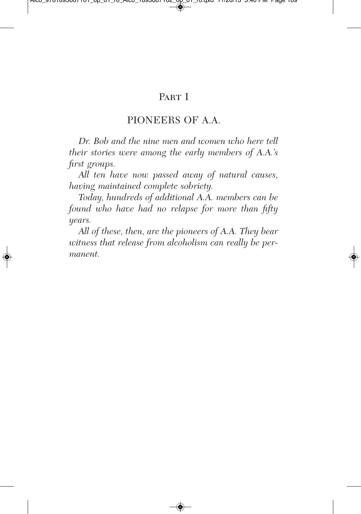## PART I

#### PIONEERS OF A.A.

*Dr. Bob and the nine men and women who here tell their stories were among the early members of A.A.'s first groups.*

*All ten have now passed away of natural causes, having maintained complete sobriety.* 

*Today, hundreds of additional A.A. members can be found who have had no relapse for more than fifty years.*

*All of these, then, are the pioneers of A.A. They bear witness that release from alcoholism can really be permanent.*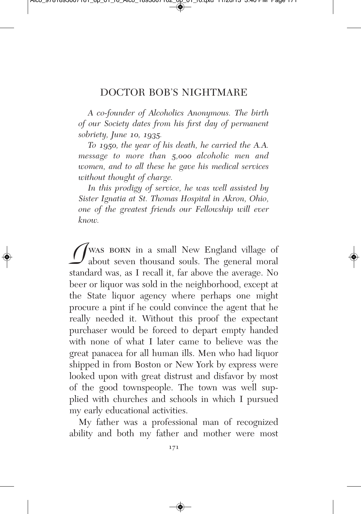### DOCTOR BOB'S NIGHTMARE

*A co-founder of Alcoholics Anonymous. The birth of our Society dates from his first day of permanent sobriety, June 10, 1935.*

*To 1950, the year of his death, he carried the A.A. message to more than 5,000 alcoholic men and women, and to all these he gave his medical services without thought of charge.*

*In this prodigy of service, he was well assisted by Sister Ignatia at St. Thomas Hospital in Akron, Ohio, one of the greatest friends our Fellowship will ever know.* 

*I* WAS BORN in a small New England village of about seven thousand souls. The general moral standard was, as I recall it, far above the average. No beer or liquor was sold in the neighborhood, except at the State liquor agency where perhaps one might procure a pint if he could convince the agent that he really needed it. Without this proof the expectant purchaser would be forced to depart empty handed with none of what I later came to believe was the great panacea for all human ills. Men who had liquor shipped in from Boston or New York by express were looked upon with great distrust and disfavor by most of the good townspeople. The town was well supplied with churches and schools in which I pursued my early educational activities.

My father was a professional man of recognized ability and both my father and mother were most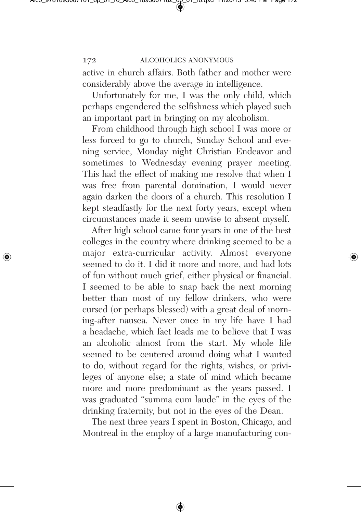active in church affairs. Both father and mother were considerably above the average in intelligence.

Unfortunately for me, I was the only child, which perhaps engendered the selfishness which played such an important part in bringing on my alcoholism.

From childhood through high school I was more or less forced to go to church, Sunday School and evening service, Monday night Christian Endeavor and sometimes to Wednesday evening prayer meeting. This had the effect of making me resolve that when I was free from parental domination, I would never again darken the doors of a church. This resolution I kept steadfastly for the next forty years, except when circumstances made it seem unwise to absent myself.

After high school came four years in one of the best colleges in the country where drinking seemed to be a major extra-curricular activity. Almost everyone seemed to do it. I did it more and more, and had lots of fun without much grief, either physical or financial. I seemed to be able to snap back the next morning better than most of my fellow drinkers, who were cursed (or perhaps blessed) with a great deal of morning-after nausea. Never once in my life have I had a headache, which fact leads me to believe that I was an alcoholic almost from the start. My whole life seemed to be centered around doing what I wanted to do, without regard for the rights, wishes, or privileges of anyone else; a state of mind which became more and more predominant as the years passed. I was graduated "summa cum laude" in the eyes of the drinking fraternity, but not in the eyes of the Dean.

The next three years I spent in Boston, Chicago, and Montreal in the employ of a large manufacturing con-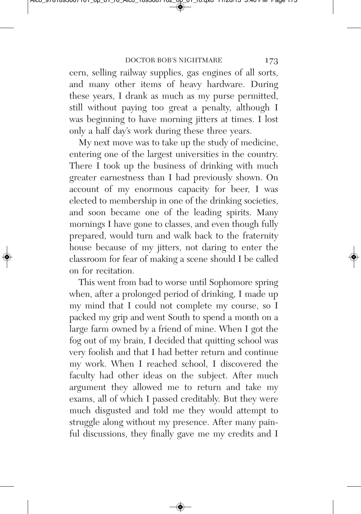cern, selling railway supplies, gas engines of all sorts, and many other items of heavy hardware. During these years, I drank as much as my purse permitted, still without paying too great a penalty, although I was beginning to have morning jitters at times. I lost only a half day's work during these three years.

My next move was to take up the study of medicine, entering one of the largest universities in the country. There I took up the business of drinking with much greater earnestness than I had previously shown. On account of my enormous capacity for beer, I was elected to membership in one of the drinking societies, and soon became one of the leading spirits. Many mornings I have gone to classes, and even though fully prepared, would turn and walk back to the fraternity house because of my jitters, not daring to enter the classroom for fear of making a scene should I be called on for recitation.

This went from bad to worse until Sophomore spring when, after a prolonged period of drinking, I made up my mind that I could not complete my course, so I packed my grip and went South to spend a month on a large farm owned by a friend of mine. When I got the fog out of my brain, I decided that quitting school was very foolish and that I had better return and continue my work. When I reached school, I discovered the faculty had other ideas on the subject. After much argument they allowed me to return and take my exams, all of which I passed creditably. But they were much disgusted and told me they would attempt to struggle along without my presence. After many painful discussions, they finally gave me my credits and I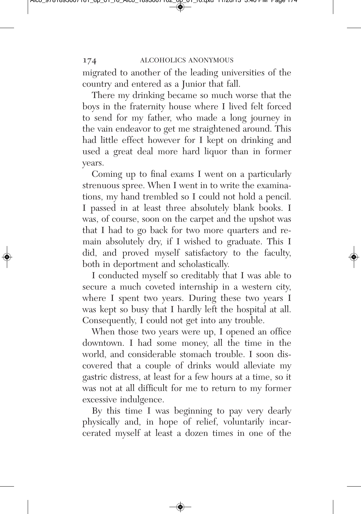migrated to another of the leading universities of the country and entered as a Junior that fall.

There my drinking became so much worse that the boys in the fraternity house where I lived felt forced to send for my father, who made a long journey in the vain endeavor to get me straightened around. This had little effect however for I kept on drinking and used a great deal more hard liquor than in former years.

Coming up to final exams I went on a particularly strenuous spree. When I went in to write the examina tions, my hand trembled so I could not hold a pencil. I passed in at least three absolutely blank books. I was, of course, soon on the carpet and the upshot was that I had to go back for two more quarters and remain absolutely dry, if I wished to graduate. This I did, and proved myself satisfactory to the faculty, both in deportment and scholastically.

I conducted myself so creditably that I was able to secure a much coveted internship in a western city, where I spent two years. During these two years I was kept so busy that I hardly left the hospital at all. Consequently, I could not get into any trouble.

When those two years were up, I opened an office downtown. I had some money, all the time in the world, and considerable stomach trouble. I soon discovered that a couple of drinks would alleviate my gastric distress, at least for a few hours at a time, so it was not at all difficult for me to return to my former excessive indulgence.

By this time I was beginning to pay very dearly physically and, in hope of relief, voluntarily incarcerated myself at least a dozen times in one of the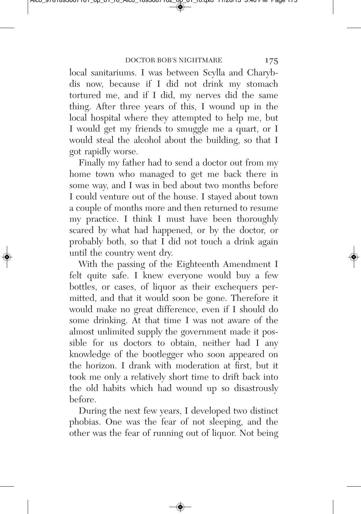local sanitariums. I was between Scylla and Charybdis now, because if I did not drink my stomach tortured me, and if I did, my nerves did the same thing. After three years of this, I wound up in the local hospital where they attempted to help me, but I would get my friends to smuggle me a quart, or I would steal the alcohol about the building, so that I got rapidly worse.

Finally my father had to send a doctor out from my home town who managed to get me back there in some way, and I was in bed about two months before I could venture out of the house. I stayed about town a couple of months more and then returned to resume my practice. I think I must have been thoroughly scared by what had happened, or by the doctor, or probably both, so that  $\overline{I}$  did not touch a drink again until the country went dry.

With the passing of the Eighteenth Amendment I felt quite safe. I knew everyone would buy a few bottles, or cases, of liquor as their exchequers permitted, and that it would soon be gone. Therefore it would make no great difference, even if I should do some drinking. At that time I was not aware of the almost unlimited supply the government made it possible for us doctors to obtain, neither had I any knowledge of the bootlegger who soon appeared on the horizon. I drank with moderation at first, but it took me only a relatively short time to drift back into the old habits which had wound up so disastrously before.

During the next few years, I developed two distinct phobias. One was the fear of not sleeping, and the other was the fear of running out of liquor. Not being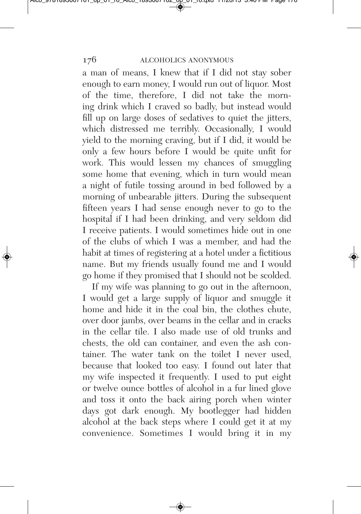a man of means, I knew that if I did not stay sober enough to earn money, I would run out of liquor. Most of the time, therefore, I did not take the morning drink which I craved so badly, but instead would fill up on large doses of sedatives to quiet the jitters, which distressed me terribly. Occasionally, I would yield to the morning craving, but if I did, it would be only a few hours before I would be quite unfit for work. This would lessen my chances of smuggling some home that evening, which in turn would mean a night of futile tossing around in bed followed by a morning of unbearable jitters. During the subsequent fifteen years I had sense enough never to go to the hospital if I had been drinking, and very seldom did I receive patients. I would sometimes hide out in one of the clubs of which I was a member, and had the habit at times of registering at a hotel under a fictitious name. But my friends usually found me and I would go home if they promised that I should not be scolded.

If my wife was planning to go out in the afternoon, I would get a large supply of liquor and smuggle it home and hide it in the coal bin, the clothes chute, over door jambs, over beams in the cellar and in cracks in the cellar tile. I also made use of old trunks and chests, the old can container, and even the ash container. The water tank on the toilet I never used, because that looked too easy. I found out later that my wife inspected it frequently. I used to put eight or twelve ounce bottles of alcohol in a fur lined glove and toss it onto the back airing porch when winter days got dark enough. My bootlegger had hidden alcohol at the back steps where I could get it at my convenience. Sometimes I would bring it in my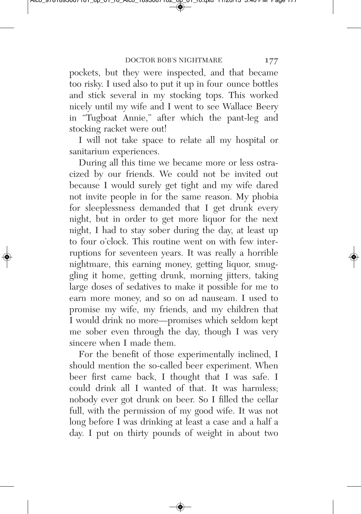pockets, but they were inspected, and that became too risky. I used also to put it up in four ounce bottles and stick several in my stocking tops. This worked nicely until my wife and I went to see Wallace Beery in "Tugboat Annie," after which the pant-leg and stocking racket were out!

I will not take space to relate all my hospital or sanitarium experiences.

During all this time we became more or less ostracized by our friends. We could not be invited out because I would surely get tight and my wife dared not invite people in for the same reason. My phobia for sleeplessness demanded that I get drunk every night, but in order to get more liquor for the next night, I had to stay sober during the day, at least up to four o'clock. This routine went on with few interruptions for seventeen years. It was really a horrible nightmare, this earning money, getting liquor, smuggling it home, getting drunk, morning jitters, taking large doses of sedatives to make it possible for me to earn more money, and so on ad nauseam. I used to promise my wife, my friends, and my children that I would drink no more—promises which seldom kept me sober even through the day, though I was very sincere when I made them.

For the benefit of those experimentally inclined, I should mention the so-called beer experiment. When beer first came back, I thought that I was safe. I could drink all I wanted of that. It was harmless; nobody ever got drunk on beer. So I filled the cellar full, with the permission of my good wife. It was not long before I was drinking at least a case and a half a day. I put on thirty pounds of weight in about two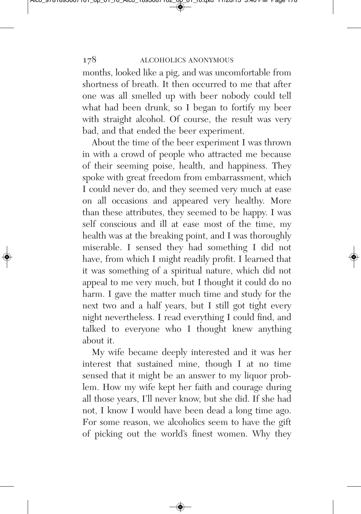months, looked like a pig, and was uncomfortable from shortness of breath. It then occurred to me that after one was all smelled up with beer nobody could tell what had been drunk, so I began to fortify my beer with straight alcohol. Of course, the result was very bad, and that ended the beer experiment.

About the time of the beer experiment I was thrown in with a crowd of people who attracted me because of their seeming poise, health, and happiness. They spoke with great freedom from embarrassment, which I could never do, and they seemed very much at ease on all occasions and appeared very healthy. More than these attributes, they seemed to be happy. I was self conscious and ill at ease most of the time, my health was at the breaking point, and I was thoroughly miserable. I sensed they had something I did not have, from which I might readily profit. I learned that it was something of a spiritual nature, which did not appeal to me very much, but I thought it could do no harm. I gave the matter much time and study for the next two and a half years, but I still got tight every night nevertheless. I read everything I could find, and talked to everyone who I thought knew anything about it.

My wife became deeply interested and it was her interest that sustained mine, though I at no time sensed that it might be an answer to my liquor problem. How my wife kept her faith and courage during all those years, I'll never know, but she did. If she had not, I know I would have been dead a long time ago. For some reason, we alcoholics seem to have the gift of picking out the world's finest women. Why they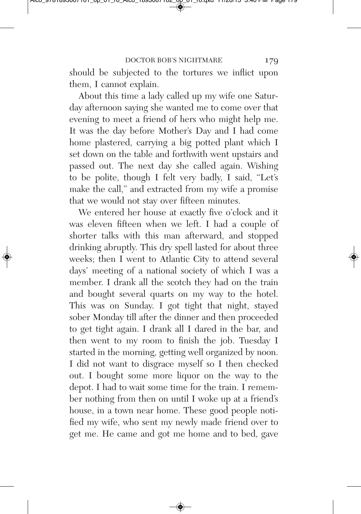should be subjected to the tortures we inflict upon them, I cannot explain.

About this time a lady called up my wife one Saturday afternoon saying she wanted me to come over that evening to meet a friend of hers who might help me. It was the day before Mother's Day and I had come home plastered, carrying a big potted plant which I set down on the table and forthwith went upstairs and passed out. The next day she called again. Wishing to be polite, though I felt very badly, I said, "Let's make the call," and extracted from my wife a promise that we would not stay over fifteen minutes.

We entered her house at exactly five o'clock and it was eleven fifteen when we left. I had a couple of shorter talks with this man afterward, and stopped drinking abruptly. This dry spell lasted for about three weeks; then I went to Atlantic City to attend several days' meeting of a national society of which I was a member. I drank all the scotch they had on the train and bought several quarts on my way to the hotel. This was on Sunday. I got tight that night, stayed sober Monday till after the dinner and then proceeded to get tight again. I drank all I dared in the bar, and then went to my room to finish the job. Tuesday I started in the morning, getting well organized by noon. I did not want to disgrace myself so I then checked out. I bought some more liquor on the way to the depot. I had to wait some time for the train. I remember nothing from then on until I woke up at a friend's house, in a town near home. These good people notified my wife, who sent my newly made friend over to get me. He came and got me home and to bed, gave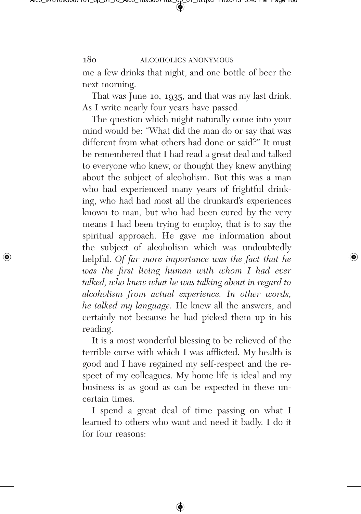me a few drinks that night, and one bottle of beer the next morning.

That was June 10, 1935, and that was my last drink. As I write nearly four years have passed.

The question which might naturally come into your mind would be: "What did the man do or say that was different from what others had done or said?" It must be remembered that I had read a great deal and talked to everyone who knew, or thought they knew anything about the subject of alcoholism. But this was a man who had experienced many years of frightful drinking, who had had most all the drunkard's experiences known to man, but who had been cured by the very means I had been trying to employ, that is to say the spiritual approach. He gave me information about the subject of alcoholism which was undoubtedly helpful. *Of far more importance was the fact that he was the first living human with whom I had ever talked, who knew what he was talking about in regard to alcoholism from actual experience. In other words, he talked my language.* He knew all the answers, and certainly not because he had picked them up in his reading.

It is a most wonderful blessing to be relieved of the terrible curse with which I was afflicted. My health is good and I have regained my self-respect and the respect of my colleagues. My home life is ideal and my business is as good as can be expected in these uncertain times.

I spend a great deal of time passing on what I learned to others who want and need it badly. I do it for four reasons: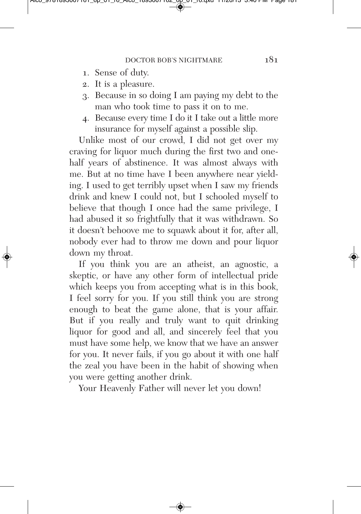- 1. Sense of duty.
- 2. It is a pleasure.
- 3. Because in so doing I am paying my debt to the man who took time to pass it on to me.
- 4. Because every time I do it I take out a little more insurance for myself against a possible slip.

Unlike most of our crowd, I did not get over my craving for liquor much during the first two and onehalf years of abstinence. It was almost always with me. But at no time have I been anywhere near yielding. I used to get terribly upset when I saw my friends drink and knew I could not, but I schooled myself to believe that though I once had the same privilege, I had abused it so frightfully that it was withdrawn. So it doesn't behoove me to squawk about it for, after all, nobody ever had to throw me down and pour liquor down my throat.

If you think you are an atheist, an agnostic, a skeptic, or have any other form of intellectual pride which keeps you from accepting what is in this book, I feel sorry for you. If you still think you are strong enough to beat the game alone, that is your affair. But if you really and truly want to quit drinking liquor for good and all, and sincerely feel that you must have some help, we know that we have an answer for you. It never fails, if you go about it with one half the zeal you have been in the habit of showing when you were getting another drink.

Your Heavenly Father will never let you down!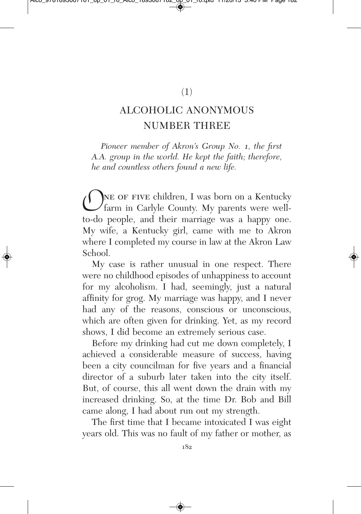## (1)

# ALCOHOLIC ANONYMOUS NUMBER THREE

*Pioneer member of Akron's Group No. 1, the first A.A. group in the world. He kept the faith; therefore, he and countless others found a new life.* 

**ONE OF FIVE children, I was born on a Kentucky** farm in Carlyle County. My parents were wellto-do people, and their marriage was a happy one. My wife, a Kentucky girl, came with me to Akron where I completed my course in law at the Akron Law School.

My case is rather unusual in one respect. There were no childhood episodes of unhappiness to account for my alcoholism. I had, seemingly, just a natural affinity for grog. My marriage was happy, and I never had any of the reasons, conscious or unconscious, which are often given for drinking. Yet, as my record shows, I did become an extremely serious case.

Before my drinking had cut me down completely, I achieved a considerable measure of success, having been a city councilman for five years and a financial director of a suburb later taken into the city itself. But, of course, this all went down the drain with my increased drinking. So, at the time Dr. Bob and Bill came along, I had about run out my strength.

The first time that I became intoxicated I was eight years old. This was no fault of my father or mother, as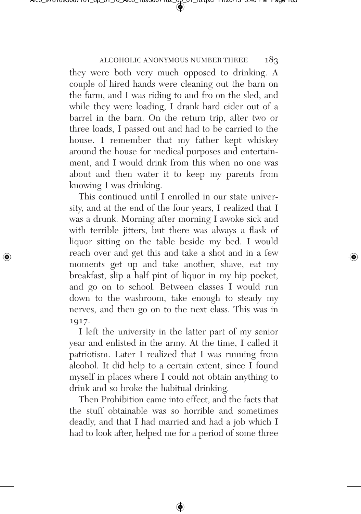they were both very much opposed to drinking. A couple of hired hands were cleaning out the barn on the farm, and I was riding to and fro on the sled, and while they were loading, I drank hard cider out of a barrel in the barn. On the return trip, after two or three loads, I passed out and had to be carried to the house. I remember that my father kept whiskey around the house for medical purposes and entertainment, and I would drink from this when no one was about and then water it to keep my parents from knowing I was drinking.

This continued until I enrolled in our state university, and at the end of the four years, I realized that I was a drunk. Morning after morning I awoke sick and with terrible jitters, but there was always a flask of liquor sitting on the table beside my bed. I would reach over and get this and take a shot and in a few moments get up and take another, shave, eat my breakfast, slip a half pint of liquor in my hip pocket, and go on to school. Between classes I would run down to the washroom, take enough to steady my nerves, and then go on to the next class. This was in 1917.

I left the university in the latter part of my senior year and enlisted in the army. At the time, I called it patriotism. Later I realized that I was running from alcohol. It did help to a certain extent, since I found myself in places where I could not obtain anything to drink and so broke the habitual drinking.

Then Prohibition came into effect, and the facts that the stuff obtainable was so horrible and sometimes deadly, and that I had married and had a job which I had to look after, helped me for a period of some three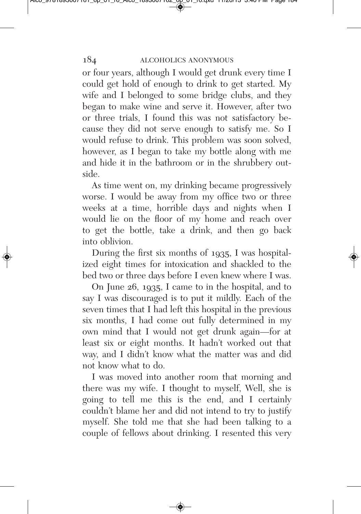or four years, although I would get drunk every time I could get hold of enough to drink to get started. My wife and I belonged to some bridge clubs, and they began to make wine and serve it. However, after two or three trials, I found this was not satisfactory because they did not serve enough to satisfy me. So I would refuse to drink. This problem was soon solved, however, as I began to take my bottle along with me and hide it in the bathroom or in the shrubbery outside.

As time went on, my drinking became progressively worse. I would be away from my office two or three weeks at a time, horrible days and nights when I would lie on the floor of my home and reach over to get the bottle, take a drink, and then go back into oblivion.

During the first six months of 1935, I was hospitalized eight times for intoxication and shackled to the bed two or three days before I even knew where I was.

On June 26, 1935, I came to in the hospital, and to say I was discouraged is to put it mildly. Each of the seven times that I had left this hospital in the previous six months, I had come out fully determined in my own mind that I would not get drunk again—for at least six or eight months. It hadn't worked out that way, and I didn't know what the matter was and did not know what to do.

I was moved into another room that morning and there was my wife. I thought to myself, Well, she is going to tell me this is the end, and I certainly couldn't blame her and did not intend to try to justify myself. She told me that she had been talking to a couple of fellows about drinking. I resented this very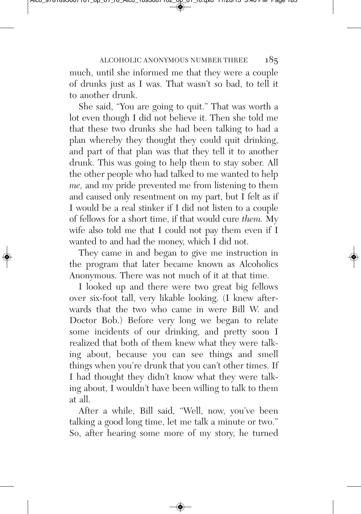much, until she informed me that they were a couple of drunks just as I was. That wasn't so bad, to tell it to another drunk.

She said, "You are going to quit." That was worth a lot even though I did not believe it. Then she told me that these two drunks she had been talking to had a plan whereby they thought they could quit drinking, and part of that plan was that they tell it to another drunk. This was going to help them to stay sober. All the other people who had talked to me wanted to help *me,* and my pride prevented me from listening to them and caused only resentment on my part, but I felt as if I would be a real stinker if I did not listen to a couple of fellows for a short time, if that would cure *them.* My wife also told me that I could not pay them even if I wanted to and had the money, which I did not.

They came in and began to give me instruction in the program that later became known as Alcoholics Anonymous. There was not much of it at that time.

I looked up and there were two great big fellows over six-foot tall, very likable looking. (I knew afterwards that the two who came in were Bill W. and Doctor Bob.) Before very long we began to relate some incidents of our drinking, and pretty soon I realized that both of them knew what they were talking about, because you can see things and smell things when you're drunk that you can't other times. If I had thought they didn't know what they were talking about, I wouldn't have been willing to talk to them at all.

After a while, Bill said, "Well, now, you've been talking a good long time, let me talk a minute or two." So, after hearing some more of my story, he turned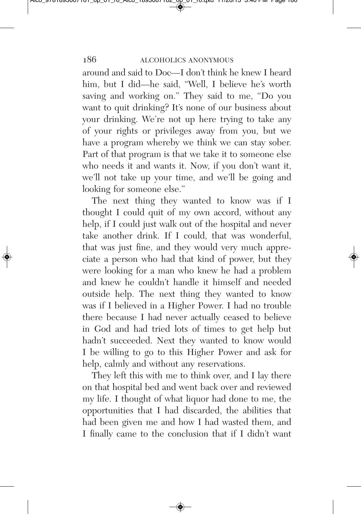around and said to Doc—I don't think he knew I heard him, but I did—he said, "Well, I believe he's worth saving and working on." They said to me, "Do you want to quit drinking? It's none of our business about your drinking. We're not up here trying to take any of your rights or privileges away from you, but we have a program whereby we think we can stay sober. Part of that program is that we take it to someone else who needs it and wants it. Now, if you don't want it, we'll not take up your time, and we'll be going and looking for someone else."

The next thing they wanted to know was if I thought I could quit of my own accord, without any help, if I could just walk out of the hospital and never take another drink. If I could, that was wonderful, that was just fine, and they would very much appreciate a person who had that kind of power, but they were looking for a man who knew he had a problem and knew he couldn't handle it himself and needed outside help. The next thing they wanted to know was if I believed in a Higher Power. I had no trouble there because I had never actually ceased to believe in God and had tried lots of times to get help but hadn't succeeded. Next they wanted to know would I be willing to go to this Higher Power and ask for help, calmly and without any reservations.

They left this with me to think over, and I lay there on that hospital bed and went back over and reviewed my life. I thought of what liquor had done to me, the opportunities that I had discarded, the abilities that had been given me and how I had wasted them, and I finally came to the conclusion that if I didn't want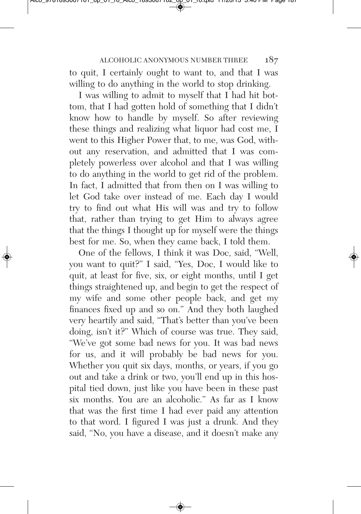to quit, I certainly ought to want to, and that I was willing to do anything in the world to stop drinking.

I was willing to admit to myself that I had hit bottom, that I had gotten hold of something that I didn't know how to handle by myself. So after reviewing these things and realizing what liquor had cost me, I went to this Higher Power that, to me, was God, without any reservation, and admitted that I was completely powerless over alcohol and that I was willing to do anything in the world to get rid of the problem. In fact, I admitted that from then on I was willing to let God take over instead of me. Each day I would try to find out what His will was and try to follow that, rather than trying to get Him to always agree that the things I thought up for myself were the things best for me. So, when they came back, I told them.

One of the fellows, I think it was Doc, said, "Well, you want to quit?" I said, "Yes, Doc, I would like to quit, at least for five, six, or eight months, until I get things straightened up, and begin to get the respect of my wife and some other people back, and get my finances fixed up and so on." And they both laughed very heartily and said, "That's better than you've been doing, isn't it?" Which of course was true. They said, "We've got some bad news for you. It was bad news for us, and it will probably be bad news for you. Whether you quit six days, months, or years, if you go out and take a drink or two, you'll end up in this hospital tied down, just like you have been in these past six months. You are an alcoholic." As far as I know that was the first time I had ever paid any attention to that word. I figured I was just a drunk. And they said, "No, you have a disease, and it doesn't make any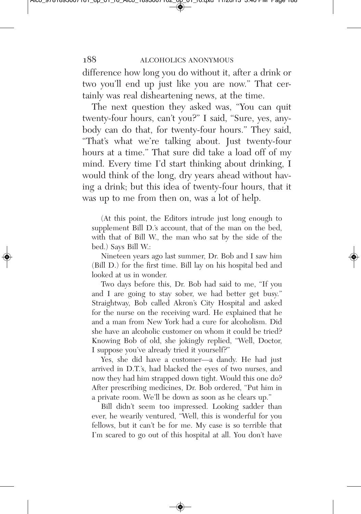difference how long you do without it, after a drink or two you'll end up just like you are now." That certainly was real disheartening news, at the time.

The next question they asked was, "You can quit twenty-four hours, can't you?" I said, "Sure, yes, anybody can do that, for twenty-four hours." They said, "That's what we're talking about. Just twenty-four hours at a time." That sure did take a load off of my mind. Every time I'd start thinking about drinking, I would think of the long, dry years ahead without having a drink; but this idea of twenty-four hours, that it was up to me from then on, was a lot of help.

(At this point, the Editors intrude just long enough to supplement Bill D.'s account, that of the man on the bed, with that of Bill W., the man who sat by the side of the bed.) Says Bill W.:

Nineteen years ago last summer, Dr. Bob and I saw him (Bill D.) for the first time. Bill lay on his hospital bed and looked at us in wonder.

Two days before this, Dr. Bob had said to me, "If you and I are going to stay sober, we had better get busy." Straightway, Bob called Akron's City Hospital and asked for the nurse on the receiving ward. He explained that he and a man from New York had a cure for alcoholism. Did she have an alcoholic customer on whom it could be tried? Knowing Bob of old, she jokingly replied, "Well, Doctor, I suppose you've already tried it yourself?"

Yes, she did have a customer—a dandy. He had just arrived in D.T.'s, had blacked the eyes of two nurses, and now they had him strapped down tight. Would this one do? After prescribing medicines, Dr. Bob ordered, "Put him in a private room. We'll be down as soon as he clears up."

Bill didn't seem too impressed. Looking sadder than ever, he wearily ventured, "Well, this is wonderful for you fellows, but it can't be for me. My case is so terrible that I'm scared to go out of this hospital at all. You don't have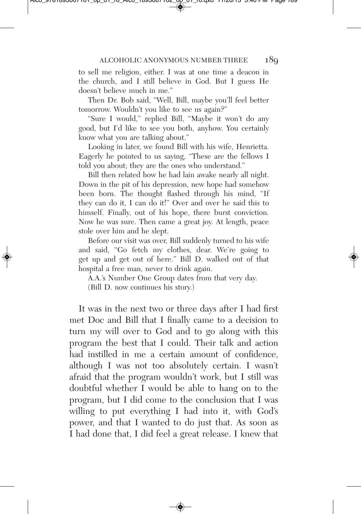to sell me religion, either. I was at one time a deacon in the church, and I still believe in God. But I guess He doesn't believe much in me."

Then Dr. Bob said, "Well, Bill, maybe you'll feel better tomorrow. Wouldn't you like to see us again?"

"Sure I would," replied Bill, "Maybe it won't do any good, but I'd like to see you both, anyhow. You certainly know what you are talking about."

Looking in later, we found Bill with his wife, Henrietta. Eagerly he pointed to us saying, "These are the fellows I told you about; they are the ones who understand."

Bill then related how he had lain awake nearly all night. Down in the pit of his depression, new hope had somehow been born. The thought flashed through his mind, "If they can do it, I can do it!" Over and over he said this to himself. Finally, out of his hope, there burst conviction. Now he was sure. Then came a great joy. At length, peace stole over him and he slept.

Before our visit was over, Bill suddenly turned to his wife and said, "Go fetch my clothes, dear. We're going to get up and get out of here." Bill D. walked out of that hospital a free man, never to drink again.

A.A.'s Number One Group dates from that very day. (Bill D. now continues his story.)

It was in the next two or three days after I had first met Doc and Bill that I finally came to a decision to turn my will over to God and to go along with this program the best that I could. Their talk and action had instilled in me a certain amount of confidence, although I was not too absolutely certain. I wasn't afraid that the program wouldn't work, but I still was doubtful whether I would be able to hang on to the program, but I did come to the conclusion that I was willing to put everything I had into it, with God's power, and that I wanted to do just that. As soon as I had done that, I did feel a great release. I knew that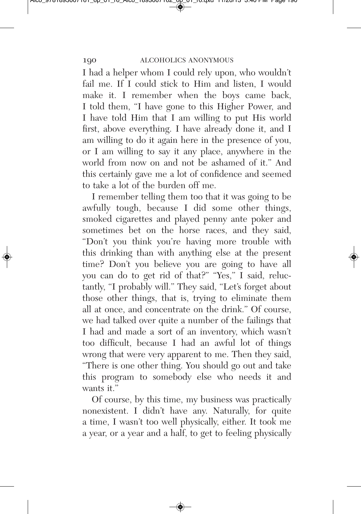I had a helper whom I could rely upon, who wouldn't fail me. If I could stick to Him and listen, I would make it. I remember when the boys came back, I told them, "I have gone to this Higher Power, and I have told Him that I am willing to put His world first, above everything. I have already done it, and I am willing to do it again here in the presence of you, or I am willing to say it any place, anywhere in the world from now on and not be ashamed of it." And this certainly gave me a lot of confidence and seemed to take a lot of the burden off me.

I remember telling them too that it was going to be awfully tough, because I did some other things, smoked cigarettes and played penny ante poker and sometimes bet on the horse races, and they said, "Don't you think you're having more trouble with this drinking than with anything else at the present time? Don't you believe you are going to have all you can do to get rid of that?" "Yes," I said, reluctantly, "I probably will." They said, "Let's forget about those other things, that is, trying to eliminate them all at once, and concentrate on the drink." Of course, we had talked over quite a number of the failings that I had and made a sort of an inventory, which wasn't too difficult, because I had an awful lot of things wrong that were very apparent to me. Then they said, "There is one other thing. You should go out and take this program to somebody else who needs it and wants it."

Of course, by this time, my business was practically nonexistent. I didn't have any. Naturally, for quite a time, I wasn't too well physically, either. It took me a year, or a year and a half, to get to feeling physically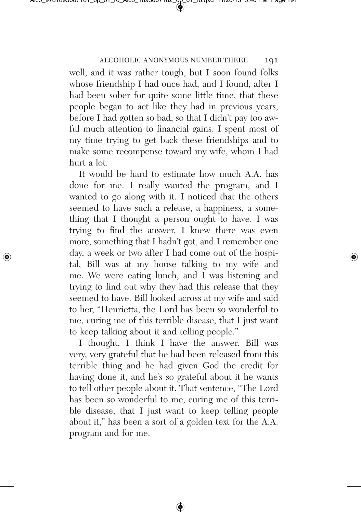well, and it was rather tough, but I soon found folks whose friendship I had once had, and I found, after I had been sober for quite some little time, that these people began to act like they had in previous years, before I had gotten so bad, so that I didn't pay too awful much attention to financial gains. I spent most of my time trying to get back these friendships and to make some recompense toward my wife, whom I had hurt a lot.

It would be hard to estimate how much A.A. has done for me. I really wanted the program, and I wanted to go along with it. I noticed that the others seemed to have such a release, a happiness, a something that I thought a person ought to have. I was trying to find the answer. I knew there was even more, something that I hadn't got, and I remember one day, a week or two after I had come out of the hospital, Bill was at my house talking to my wife and me. We were eating lunch, and I was listening and trying to find out why they had this release that they seemed to have. Bill looked across at my wife and said to her, "Henrietta, the Lord has been so wonderful to me, curing me of this terrible disease, that I just want to keep talking about it and telling people."

I thought, I think I have the answer. Bill was very, very grateful that he had been released from this terrible thing and he had given God the credit for having done it, and he's so grateful about it he wants to tell other people about it. That sentence, "The Lord has been so wonderful to me, curing me of this terrible disease, that I just want to keep telling people about it," has been a sort of a golden text for the A.A. program and for me.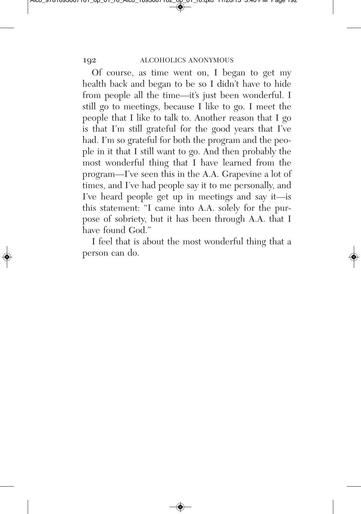Of course, as time went on, I began to get my health back and began to be so I didn't have to hide from people all the time—it's just been wonderful. I still go to meetings, because I like to go. I meet the people that I like to talk to. Another reason that I go is that I'm still grateful for the good years that I've had. I'm so grateful for both the program and the people in it that I still want to go. And then probably the most wonderful thing that I have learned from the program—I've seen this in the A.A. Grapevine a lot of times, and I've had people say it to me personally, and I've heard people get up in meetings and say it—is this statement: "I came into A.A. solely for the purpose of sobriety, but it has been through A.A. that I have found God."

I feel that is about the most wonderful thing that a person can do.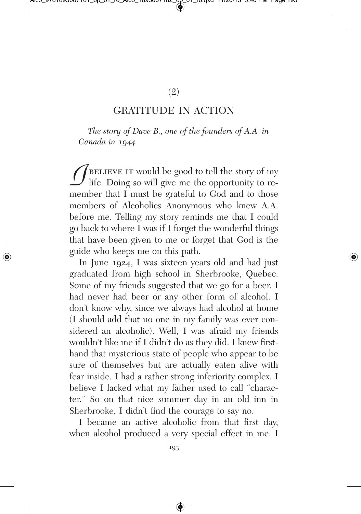### (2)

### GRATITUDE IN ACTION

*The story of Dave B., one of the founders of A.A. in Canada in 1944.*

**I** BELIEVE IT would be good to tell the story of my life. Doing so will give me the opportunity to remember that I must be grateful to God and to those members of Alcoholics Anonymous who knew A.A. before me. Telling my story reminds me that I could go back to where I was if I forget the wonderful things that have been given to me or forget that God is the guide who keeps me on this path.

In June 1924, I was sixteen years old and had just graduated from high school in Sherbrooke, Quebec. Some of my friends suggested that we go for a beer. I had never had beer or any other form of alcohol. I don't know why, since we always had alcohol at home (I should add that no one in my family was ever considered an alcoholic). Well, I was afraid my friends wouldn't like me if I didn't do as they did. I knew firsthand that mysterious state of people who appear to be sure of themselves but are actually eaten alive with fear inside. I had a rather strong inferiority complex. I believe I lacked what my father used to call "character." So on that nice summer day in an old inn in Sherbrooke, I didn't find the courage to say no.

I became an active alcoholic from that first day, when alcohol produced a very special effect in me. I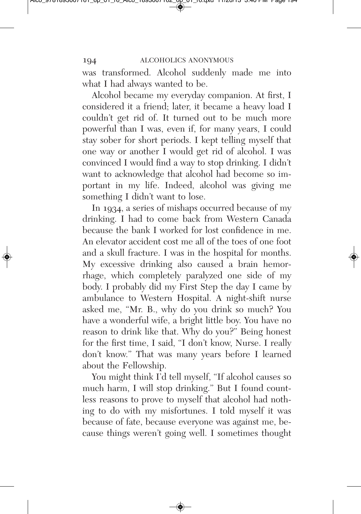was transformed. Alcohol suddenly made me into what I had always wanted to be.

Alcohol became my everyday companion. At first, I considered it a friend; later, it became a heavy load I couldn't get rid of. It turned out to be much more powerful than I was, even if, for many years, I could stay sober for short periods. I kept telling myself that one way or another I would get rid of alcohol. I was convinced I would find a way to stop drinking. I didn't want to acknowledge that alcohol had become so important in my life. Indeed, alcohol was giving me something I didn't want to lose.

In 1934, a series of mishaps occurred because of my drinking. I had to come back from Western Canada because the bank I worked for lost confidence in me. An elevator accident cost me all of the toes of one foot and a skull fracture. I was in the hospital for months. My excessive drinking also caused a brain hemorrhage, which completely paralyzed one side of my body. I probably did my First Step the day I came by ambulance to Western Hospital. A night-shift nurse asked me, "Mr. B., why do you drink so much? You have a wonderful wife, a bright little boy. You have no reason to drink like that. Why do you?" Being honest for the first time, I said, "I don't know, Nurse. I really don't know." That was many years before I learned about the Fellowship.

You might think I'd tell myself, "If alcohol causes so much harm, I will stop drinking." But I found countless reasons to prove to myself that alcohol had nothing to do with my misfortunes. I told myself it was because of fate, because everyone was against me, because things weren't going well. I sometimes thought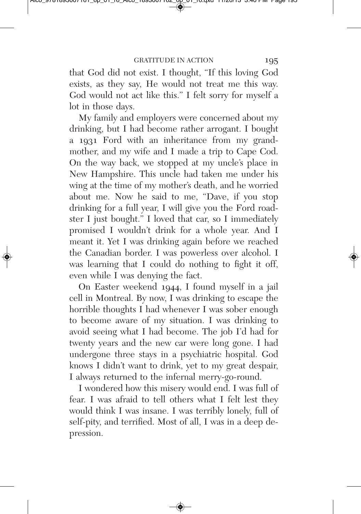that God did not exist. I thought, "If this loving God exists, as they say, He would not treat me this way. God would not act like this." I felt sorry for myself a lot in those days.

My family and employers were concerned about my drinking, but I had become rather arrogant. I bought a 1931 Ford with an inheritance from my grandmother, and my wife and I made a trip to Cape Cod. On the way back, we stopped at my uncle's place in New Hampshire. This uncle had taken me under his wing at the time of my mother's death, and he worried about me. Now he said to me, "Dave, if you stop drinking for a full year, I will give you the Ford roadster I just bought." I loved that car, so I immediately promised I wouldn't drink for a whole year. And I meant it. Yet I was drinking again before we reached the Canadian border. I was powerless over alcohol. I was learning that I could do nothing to fight it off, even while I was denying the fact.

On Easter weekend 1944, I found myself in a jail cell in Montreal. By now, I was drinking to escape the horrible thoughts I had whenever I was sober enough to become aware of my situation. I was drinking to avoid seeing what I had become. The job I'd had for twenty years and the new car were long gone. I had undergone three stays in a psychiatric hospital. God knows I didn't want to drink, yet to my great despair, I always returned to the infernal merry-go-round.

I wondered how this misery would end. I was full of fear. I was afraid to tell others what I felt lest they would think I was insane. I was terribly lonely, full of self-pity, and terrified. Most of all, I was in a deep depression.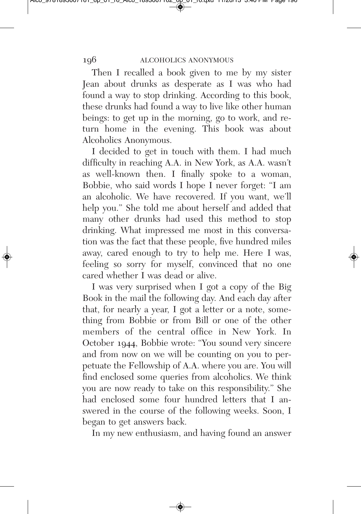Then I recalled a book given to me by my sister Jean about drunks as desperate as I was who had found a way to stop drinking. According to this book, these drunks had found a way to live like other human beings: to get up in the morning, go to work, and return home in the evening. This book was about Alcoholics Anonymous.

I decided to get in touch with them. I had much difficulty in reaching A.A. in New York, as A.A. wasn't as well-known then. I finally spoke to a woman, Bobbie, who said words I hope I never forget: "I am an alcoholic. We have recovered. If you want, we'll help you." She told me about herself and added that many other drunks had used this method to stop drinking. What impressed me most in this conversation was the fact that these people, five hundred miles away, cared enough to try to help me. Here I was, feeling so sorry for myself, convinced that no one cared whether I was dead or alive.

I was very surprised when I got a copy of the Big Book in the mail the following day. And each day after that, for nearly a year, I got a letter or a note, something from Bobbie or from Bill or one of the other members of the central office in New York. In October 1944, Bobbie wrote: "You sound very sincere and from now on we will be counting on you to perpetuate the Fellowship of A.A. where you are. You will find enclosed some queries from alcoholics. We think you are now ready to take on this responsibility." She had enclosed some four hundred letters that I answered in the course of the following weeks. Soon, I began to get answers back.

In my new enthusiasm, and having found an answer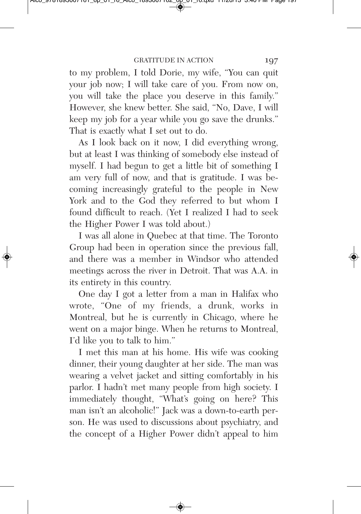to my problem, I told Dorie, my wife, "You can quit your job now; I will take care of you. From now on, you will take the place you deserve in this family." However, she knew better. She said, "No, Dave, I will keep my job for a year while you go save the drunks." That is exactly what I set out to do.

As I look back on it now, I did everything wrong, but at least I was thinking of somebody else instead of myself. I had begun to get a little bit of something I am very full of now, and that is gratitude. I was becoming increasingly grateful to the people in New York and to the God they referred to but whom I found difficult to reach. (Yet I realized I had to seek the Higher Power I was told about.)

I was all alone in Quebec at that time. The Toronto Group had been in operation since the previous fall, and there was a member in Windsor who attended meetings across the river in Detroit. That was A.A. in its entirety in this country.

One day I got a letter from a man in Halifax who wrote, "One of my friends, a drunk, works in Montreal, but he is currently in Chicago, where he went on a major binge. When he returns to Montreal, I'd like you to talk to him."

I met this man at his home. His wife was cooking dinner, their young daughter at her side. The man was wearing a velvet jacket and sitting comfortably in his parlor. I hadn't met many people from high society. I immediately thought, "What's going on here? This man isn't an alcoholic!" Jack was a down-to-earth person. He was used to discussions about psychiatry, and the concept of a Higher Power didn't appeal to him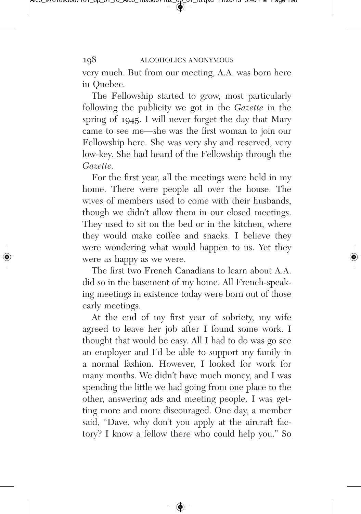very much. But from our meeting, A.A. was born here in Quebec.

The Fellowship started to grow, most particularly following the publicity we got in the *Gazette* in the spring of 1945. I will never forget the day that Mary came to see me—she was the first woman to join our Fellowship here. She was very shy and reserved, very low-key. She had heard of the Fellowship through the *Gazette*.

For the first year, all the meetings were held in my home. There were people all over the house. The wives of members used to come with their husbands, though we didn't allow them in our closed meetings. They used to sit on the bed or in the kitchen, where they would make coffee and snacks. I believe they were wondering what would happen to us. Yet they were as happy as we were.

The first two French Canadians to learn about A.A. did so in the basement of my home. All French-speaking meetings in existence today were born out of those early meetings.

At the end of my first year of sobriety, my wife agreed to leave her job after I found some work. I thought that would be easy. All I had to do was go see an employer and I'd be able to support my family in a normal fashion. However, I looked for work for many months. We didn't have much money, and I was spending the little we had going from one place to the other, answering ads and meeting people. I was getting more and more discouraged. One day, a member said, "Dave, why don't you apply at the aircraft factory? I know a fellow there who could help you." So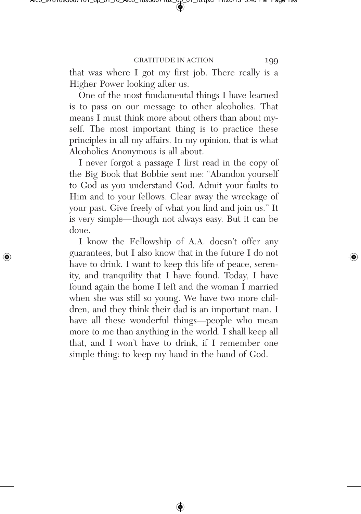that was where I got my first job. There really is a Higher Power looking after us.

One of the most fundamental things I have learned is to pass on our message to other alcoholics. That means I must think more about others than about myself. The most important thing is to practice these principles in all my affairs. In my opinion, that is what Alcoholics Anonymous is all about.

I never forgot a passage I first read in the copy of the Big Book that Bobbie sent me: "Abandon yourself to God as you understand God. Admit your faults to Him and to your fellows. Clear away the wreckage of your past. Give freely of what you find and join us." It is very simple—though not always easy. But it can be done.

I know the Fellowship of A.A. doesn't offer any guarantees, but I also know that in the future I do not have to drink. I want to keep this life of peace, serenity, and tranquility that I have found. Today, I have found again the home I left and the woman I married when she was still so young. We have two more children, and they think their dad is an important man. I have all these wonderful things—people who mean more to me than anything in the world. I shall keep all that, and I won't have to drink, if I remember one simple thing: to keep my hand in the hand of God.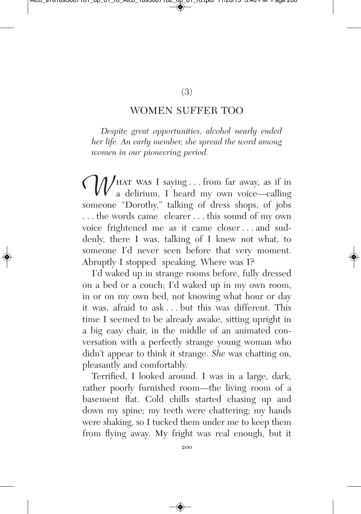# (3)

#### WOMEN SUFFER TOO

*Despite great opportunities, alcohol nearly ended her life. An early member, she spread the word among women in our pioneering period.*

WHAT WAS I saying . . . from far away, as if in a delirium, I heard my own voice—calling someone "Dorothy," talking of dress shops, of jobs a delirium, I heard my own voice—calling someone "Dorothy," talking of dress shops, of jobs . . . the words came clearer . . . this sound of my own voice frightened me as it came closer . . . and suddenly, there I was, talking of I knew not what, to someone I'd never seen before that very moment. Abruptly I stopped speaking. Where was I?

I'd waked up in strange rooms before, fully dressed on a bed or a couch; I'd waked up in my own room, in or on my own bed, not knowing what hour or day it was, afraid to ask . . . but this was different. This time I seemed to be already awake, sitting upright in a big easy chair, in the middle of an animated conversation with a perfectly strange young woman who didn't appear to think it strange. *She* was chatting on, pleasantly and comfortably.

Terrified, I looked around. I was in a large, dark, rather poorly furnished room—the living room of a basement flat. Cold chills started chasing up and down my spine; my teeth were chattering; my hands were shaking, so I tucked them under me to keep them from flying away. My fright was real enough, but it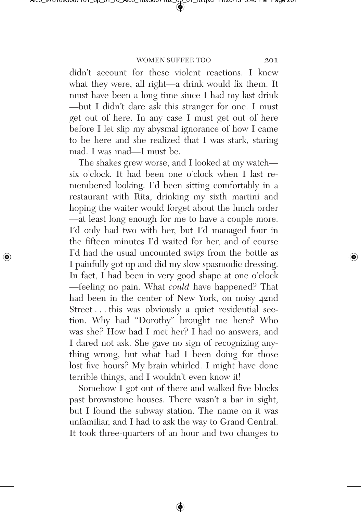didn't account for these violent reactions. I knew what they were, all right—a drink would fix them. It must have been a long time since I had my last drink —but I didn't dare ask this stranger for one. I must get out of here. In any case I must get out of here before I let slip my abysmal ignorance of how I came to be here and she realized that I was stark, staring mad. I was mad—I must be.

The shakes grew worse, and I looked at my watch six o'clock. It had been one o'clock when I last remembered looking. I'd been sitting comfortably in a restaurant with Rita, drinking my sixth martini and hoping the waiter would forget about the lunch order —at least long enough for me to have a couple more. I'd only had two with her, but I'd managed four in the fifteen minutes I'd waited for her, and of course I'd had the usual uncounted swigs from the bottle as I painfully got up and did my slow spasmodic dressing. In fact, I had been in very good shape at one o'clock —feeling no pain. What *could* have happened? That had been in the center of New York, on noisy 42nd Street . . . this was obviously a quiet residential section. Why had "Dorothy" brought me here? Who was she? How had I met her? I had no answers, and I dared not ask. She gave no sign of recognizing anything wrong, but what had I been doing for those lost five hours? My brain whirled. I might have done terrible things, and I wouldn't even know it!

Somehow I got out of there and walked five blocks past brownstone houses. There wasn't a bar in sight, but I found the subway station. The name on it was unfamiliar, and I had to ask the way to Grand Central. It took three-quarters of an hour and two changes to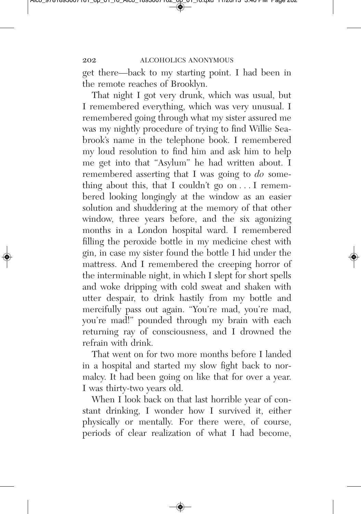get there—back to my starting point. I had been in the remote reaches of Brooklyn.

That night I got very drunk, which was usual, but I remembered everything, which was very unusual. I remembered going through what my sister assured me was my nightly procedure of trying to find Willie Seabrook's name in the telephone book. I remembered my loud resolution to find him and ask him to help me get into that "Asylum" he had written about. I remembered asserting that I was going to *do* something about this, that I couldn't go on . . . I remembered looking longingly at the window as an easier solution and shuddering at the memory of that other window, three years before, and the six agonizing months in a London hospital ward. I remembered filling the peroxide bottle in my medicine chest with gin, in case my sister found the bottle I hid under the mattress. And I remembered the creeping horror of the interminable night, in which I slept for short spells and woke dripping with cold sweat and shaken with utter despair, to drink hastily from my bottle and mercifully pass out again. "You're mad, you're mad, you're mad!" pounded through my brain with each returning ray of consciousness, and I drowned the refrain with drink.

That went on for two more months before I landed in a hospital and started my slow fight back to normalcy. It had been going on like that for over a year. I was thirty-two years old.

When I look back on that last horrible year of constant drinking, I wonder how I survived it, either physically or mentally. For there were, of course, periods of clear realization of what I had become,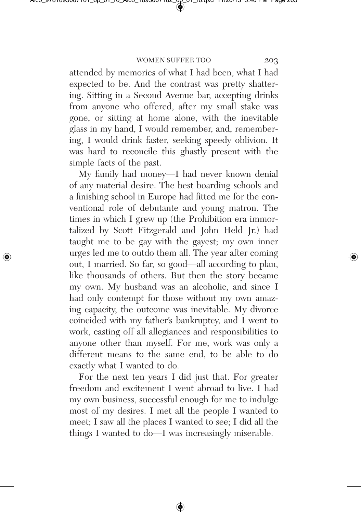attended by memories of what I had been, what I had expected to be. And the contrast was pretty shattering. Sitting in a Second Avenue bar, accepting drinks from anyone who offered, after my small stake was gone, or sitting at home alone, with the inevitable glass in my hand, I would remember, and, remembering, I would drink faster, seeking speedy oblivion. It was hard to reconcile this ghastly present with the simple facts of the past.

My family had money—I had never known denial of any material desire. The best boarding schools and a finishing school in Europe had fitted me for the conventional role of debutante and young matron. The times in which I grew up (the Prohibition era immortalized by Scott Fitzgerald and John Held Jr.) had taught me to be gay with the gayest; my own inner urges led me to outdo them all. The year after coming out, I married. So far, so good—all according to plan, like thousands of others. But then the story became my own. My husband was an alcoholic, and since I had only contempt for those without my own amazing capacity, the outcome was inevitable. My divorce coincided with my father's bankruptcy, and I went to work, casting off all allegiances and responsibilities to anyone other than myself. For me, work was only a different means to the same end, to be able to do exactly what I wanted to do.

For the next ten years I did just that. For greater freedom and excitement I went abroad to live. I had my own business, successful enough for me to indulge most of my desires. I met all the people I wanted to meet; I saw all the places I wanted to see; I did all the things I wanted to do—I was increasingly miserable.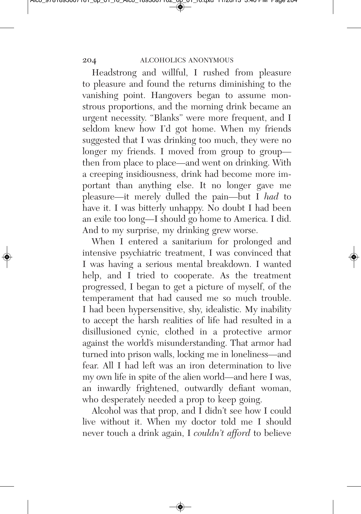Headstrong and willful, I rushed from pleasure to pleasure and found the returns diminishing to the vanishing point. Hangovers began to assume monstrous proportions, and the morning drink became an urgent necessity. "Blanks" were more frequent, and I seldom knew how I'd got home. When my friends suggested that I was drinking too much, they were no longer my friends. I moved from group to group then from place to place—and went on drinking. With a creeping insidiousness, drink had become more important than anything else. It no longer gave me pleasure—it merely dulled the pain—but I *had* to have it. I was bitterly unhappy. No doubt I had been an exile too long—I should go home to America. I did. And to my surprise, my drinking grew worse.

When I entered a sanitarium for prolonged and intensive psychiatric treatment, I was convinced that I was having a serious mental breakdown. I wanted help, and  $\breve{\mathrm{I}}$  tried to cooperate. As the treatment progressed, I began to get a picture of myself, of the temperament that had caused me so much trouble. I had been hypersensitive, shy, idealistic. My inability to accept the harsh realities of life had resulted in a disillusioned cynic, clothed in a protective armor against the world's misunderstanding. That armor had turned into prison walls, locking me in loneliness—and fear. All I had left was an iron determination to live my own life in spite of the alien world—and here I was, an inwardly frightened, outwardly defiant woman, who desperately needed a prop to keep going.

Alcohol was that prop, and I didn't see how I could live without it. When my doctor told me I should never touch a drink again, I *couldn't afford* to believe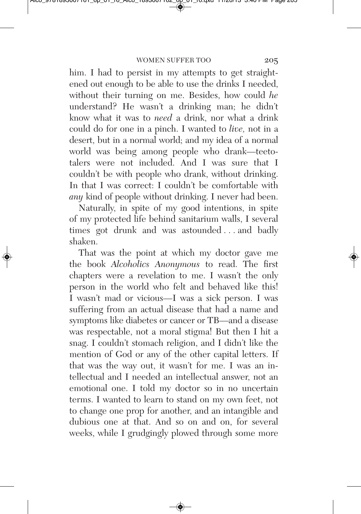him. I had to persist in my attempts to get straightened out enough to be able to use the drinks I needed, without their turning on me. Besides, how could *he* understand? He wasn't a drinking man; he didn't know what it was to *need* a drink, nor what a drink could do for one in a pinch. I wanted to *live,* not in a desert, but in a normal world; and my idea of a normal world was being among people who drank—teetotalers were not included. And I was sure that I couldn't be with people who drank, without drinking. In that I was correct: I couldn't be comfortable with *any* kind of people without drinking. I never had been.

Naturally, in spite of my good intentions, in spite of my protected life behind sanitarium walls, I several times got drunk and was astounded . . . and badly shaken.

That was the point at which my doctor gave me the book *Alcoholics Anonymous* to read. The first chapters were a revelation to me. I wasn't the only person in the world who felt and behaved like this! I wasn't mad or vicious—I was a sick person. I was suffering from an actual disease that had a name and symptoms like diabetes or cancer or TB—and a disease was respectable, not a moral stigma! But then I hit a snag. I couldn't stomach religion, and I didn't like the mention of God or any of the other capital letters. If that was the way out, it wasn't for me. I was an intellectual and I needed an intellectual answer, not an emotional one. I told my doctor so in no uncertain terms. I wanted to learn to stand on my own feet, not to change one prop for another, and an intangible and dubious one at that. And so on and on, for several weeks, while I grudgingly plowed through some more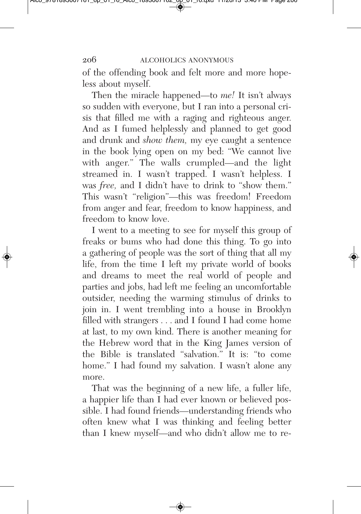of the offending book and felt more and more hopeless about myself.

Then the miracle happened—to *me!* It isn't always so sudden with everyone, but I ran into a personal crisis that filled me with a raging and righteous anger. And as I fumed helplessly and planned to get good and drunk and *show them,* my eye caught a sentence in the book lying open on my bed: "We cannot live with anger." The walls crumpled—and the light streamed in. I wasn't trapped. I wasn't helpless. I was *free,* and I didn't have to drink to "show them." This wasn't "religion"—this was freedom! Freedom from anger and fear, freedom to know happiness, and freedom to know love.

I went to a meeting to see for myself this group of freaks or bums who had done this thing. To go into a gathering of people was the sort of thing that all my life, from the time I left my private world of books and dreams to meet the real world of people and parties and jobs, had left me feeling an uncomfortable outsider, needing the warming stimulus of drinks to join in. I went trembling into a house in Brooklyn filled with strangers . . . and I found I had come home at last, to my own kind. There is another meaning for the Hebrew word that in the King James version of the Bible is translated "salvation." It is: "to come home." I had found my salvation. I wasn't alone any more.

That was the beginning of a new life, a fuller life, a happier life than I had ever known or believed possible. I had found friends—understanding friends who often knew what I was thinking and feeling better than I knew myself—and who didn't allow me to re-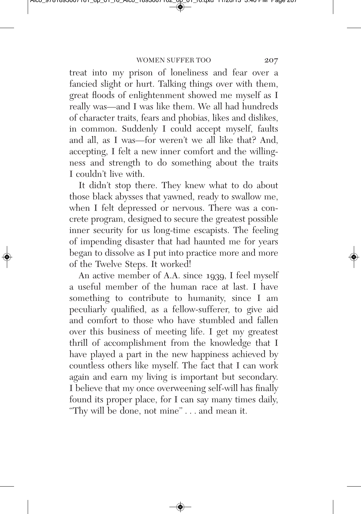treat into my prison of loneliness and fear over a fancied slight or hurt. Talking things over with them, great floods of enlightenment showed me myself as I really was—and I was like them. We all had hundreds of character traits, fears and phobias, likes and dislikes, in common. Suddenly I could accept myself, faults and all, as I was—for weren't we all like that? And, accepting, I felt a new inner comfort and the willingness and strength to do something about the traits I couldn't live with.

It didn't stop there. They knew what to do about those black abysses that yawned, ready to swallow me, when I felt depressed or nervous. There was a concrete program, designed to secure the greatest possible inner security for us long-time escapists. The feeling of impending disaster that had haunted me for years began to dissolve as I put into practice more and more of the Twelve Steps. It worked!

An active member of A.A. since 1939, I feel myself a useful member of the human race at last. I have something to contribute to humanity, since I am peculiarly qualified, as a fellow-sufferer, to give aid and comfort to those who have stumbled and fallen over this business of meeting life. I get my greatest thrill of accomplishment from the knowledge that I have played a part in the new happiness achieved by countless others like myself. The fact that I can work again and earn my living is important but secondary. I believe that my once overweening self-will has finally found its proper place, for I can say many times daily, "Thy will be done, not mine" . . . and mean it.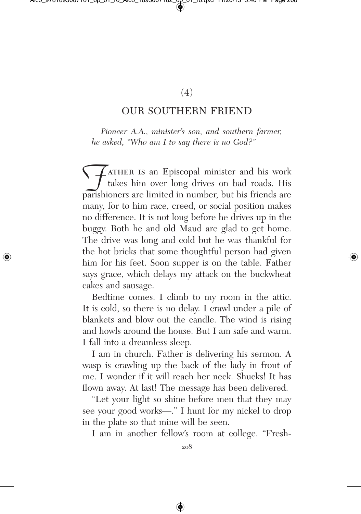## (4)

#### OUR SOUTHERN FRIEND

*Pioneer A.A., minister's son, and southern farmer, he asked, "Who am I to say there is no God?"*

 $\sqrt{\frac{1}{\sqrt{\pi}}}$ ATHER IS an Episcopal minister and his work takes him over long drives on bad roads. His parishioners are limited in number, but his friends are many, for to him race, creed, or social position makes no difference. It is not long before he drives up in the buggy. Both he and old Maud are glad to get home. The drive was long and cold but he was thankful for the hot bricks that some thoughtful person had given him for his feet. Soon supper is on the table. Father says grace, which delays my attack on the buckwheat cakes and sausage.

Bedtime comes. I climb to my room in the attic. It is cold, so there is no delay. I crawl under a pile of blankets and blow out the candle. The wind is rising and howls around the house. But I am safe and warm. I fall into a dreamless sleep.

I am in church. Father is delivering his sermon. A wasp is crawling up the back of the lady in front of me. I wonder if it will reach her neck. Shucks! It has flown away. At last! The message has been delivered.

"Let your light so shine before men that they may see your good works—." I hunt for my nickel to drop in the plate so that mine will be seen.

I am in another fellow's room at college. "Fresh-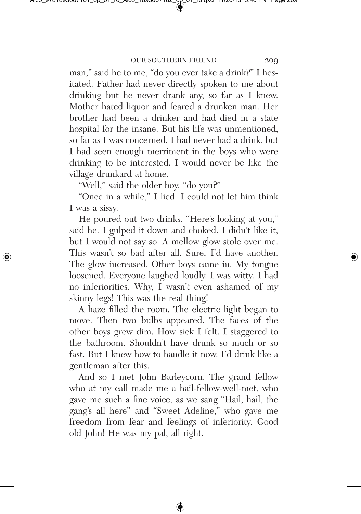man," said he to me, "do you ever take a drink?" I hesitated. Father had never directly spoken to me about drinking but he never drank any, so far as I knew. Mother hated liquor and feared a drunken man. Her brother had been a drinker and had died in a state hospital for the insane. But his life was unmentioned, so far as I was concerned. I had never had a drink, but I had seen enough merriment in the boys who were drinking to be interested. I would never be like the village drunkard at home.

"Well," said the older boy, "do you?"

"Once in a while," I lied. I could not let him think I was a sissy.

He poured out two drinks. "Here's looking at you," said he. I gulped it down and choked. I didn't like it, but I would not say so. A mellow glow stole over me. This wasn't so bad after all. Sure, I'd have another. The glow increased. Other boys came in. My tongue loosened. Everyone laughed loudly. I was witty. I had no inferiorities. Why, I wasn't even ashamed of my skinny legs! This was the real thing!

A haze filled the room. The electric light began to move. Then two bulbs appeared. The faces of the other boys grew dim. How sick I felt. I staggered to the bathroom. Shouldn't have drunk so much or so fast. But I knew how to handle it now. I'd drink like a gentleman after this.

And so I met John Barleycorn. The grand fellow who at my call made me a hail-fellow-well-met, who gave me such a fine voice, as we sang "Hail, hail, the gang's all here" and "Sweet Adeline," who gave me freedom from fear and feelings of inferiority. Good old John! He was my pal, all right.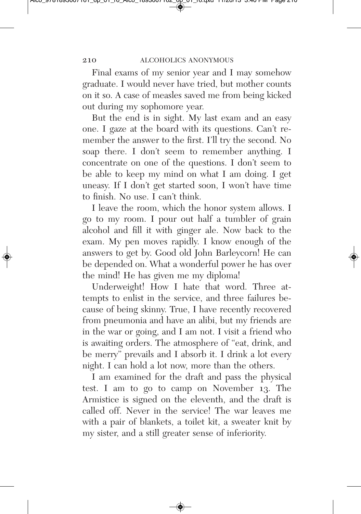Final exams of my senior year and I may somehow graduate. I would never have tried, but mother counts on it so. A case of measles saved me from being kicked out during my sophomore year.

But the end is in sight. My last exam and an easy one. I gaze at the board with its questions. Can't remember the answer to the first. I'll try the second. No soap there. I don't seem to remember anything. I concentrate on one of the questions. I don't seem to be able to keep my mind on what I am doing. I get uneasy. If I don't get started soon, I won't have time to finish. No use. I can't think.

I leave the room, which the honor system allows. I go to my room. I pour out half a tumbler of grain alcohol and fill it with ginger ale. Now back to the exam. My pen moves rapidly. I know enough of the answers to get by. Good old John Barleycorn! He can be depended on. What a wonderful power he has over the mind! He has given me my diploma!

Underweight! How I hate that word. Three attempts to enlist in the service, and three failures because of being skinny. True, I have recently recovered from pneumonia and have an alibi, but my friends are in the war or going, and I am not. I visit a friend who is awaiting orders. The atmosphere of "eat, drink, and be merry" prevails and I absorb it. I drink a lot every night. I can hold a lot now, more than the others.

I am examined for the draft and pass the physical test. I am to go to camp on November 13. The Armistice is signed on the eleventh, and the draft is called off. Never in the service! The war leaves me with a pair of blankets, a toilet kit, a sweater knit by my sister, and a still greater sense of inferiority.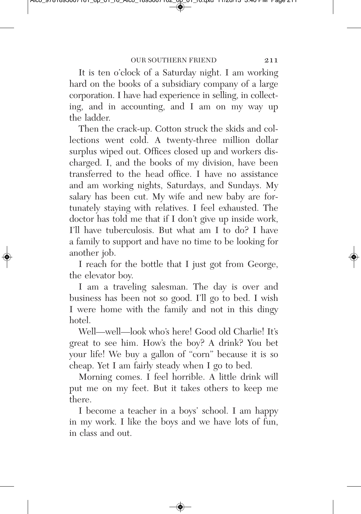It is ten o'clock of a Saturday night. I am working hard on the books of a subsidiary company of a large corporation. I have had experience in selling, in collecting, and in accounting, and I am on my way up the ladder.

Then the crack-up. Cotton struck the skids and collections went cold. A twenty-three million dollar surplus wiped out. Offices closed up and workers discharged. I, and the books of my division, have been transferred to the head office. I have no assistance and am working nights, Saturdays, and Sundays. My salary has been cut. My wife and new baby are fortunately staying with relatives. I feel exhausted. The doctor has told me that if I don't give up inside work, I'll have tuberculosis. But what am I to do? I have a family to support and have no time to be looking for another job.

I reach for the bottle that I just got from George, the elevator boy.

I am a traveling salesman. The day is over and business has been not so good. I'll go to bed. I wish I were home with the family and not in this dingy hotel.

Well—well—look who's here! Good old Charlie! It's great to see him. How's the boy? A drink? You bet your life! We buy a gallon of "corn" because it is so cheap. Yet I am fairly steady when I go to bed.

Morning comes. I feel horrible. A little drink will put me on my feet. But it takes others to keep me there.

I become a teacher in a boys' school. I am happy in my work. I like the boys and we have lots of fun, in class and out.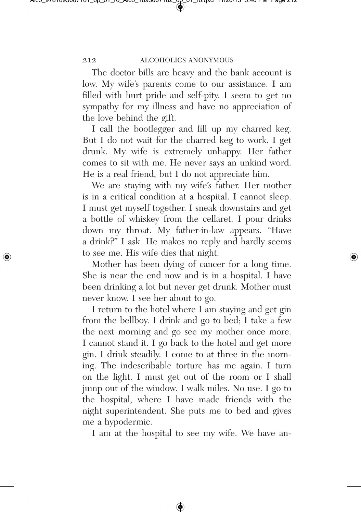The doctor bills are heavy and the bank account is low. My wife's parents come to our assistance. I am filled with hurt pride and self-pity. I seem to get no sympathy for my illness and have no appreciation of the love behind the gift.

I call the bootlegger and fill up my charred keg. But I do not wait for the charred keg to work. I get drunk. My wife is extremely unhappy. Her father comes to sit with me. He never says an unkind word. He is a real friend, but I do not appreciate him.

We are staying with my wife's father. Her mother is in a critical condition at a hospital. I cannot sleep. I must get myself together. I sneak downstairs and get a bottle of whiskey from the cellaret. I pour drinks down my throat. My father-in-law appears. "Have a drink?" I ask. He makes no reply and hardly seems to see me. His wife dies that night.

Mother has been dying of cancer for a long time. She is near the end now and is in a hospital. I have been drinking a lot but never get drunk. Mother must never know. I see her about to go.

I return to the hotel where I am staying and get gin from the bellboy. I drink and go to bed; I take a few the next morning and go see my mother once more. I cannot stand it. I go back to the hotel and get more gin. I drink steadily. I come to at three in the morning. The indescribable torture has me again. I turn on the light. I must get out of the room or I shall jump out of the window. I walk miles. No use. I go to the hospital, where I have made friends with the night superintendent. She puts me to bed and gives me a hypodermic.

I am at the hospital to see my wife. We have an-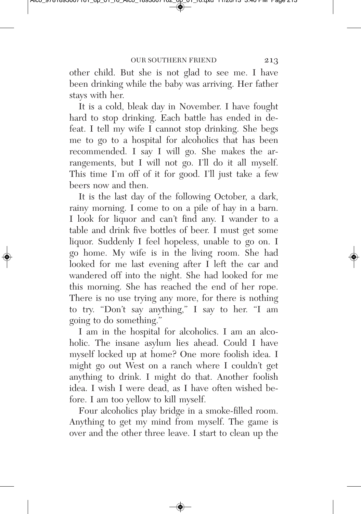other child. But she is not glad to see me. I have been drinking while the baby was arriving. Her father stays with her.

It is a cold, bleak day in November. I have fought hard to stop drinking. Each battle has ended in defeat. I tell my wife  $\breve{\rm I}$  cannot stop drinking. She begs me to go to a hospital for alcoholics that has been recommended. I say I will go. She makes the arrangements, but I will not go. I'll do it all myself. This time I'm off of it for good. I'll just take a few beers now and then.

It is the last day of the following October, a dark, rainy morning. I come to on a pile of hay in a barn. I look for liquor and can't find any. I wander to a table and drink five bottles of beer. I must get some liquor. Suddenly I feel hopeless, unable to go on. I go home. My wife is in the living room. She had looked for me last evening after I left the car and wandered off into the night. She had looked for me this morning. She has reached the end of her rope. There is no use trying any more, for there is nothing to try. "Don't say anything," I say to her. "I am going to do something."

I am in the hospital for alcoholics. I am an alcoholic. The insane asylum lies ahead. Could I have myself locked up at home? One more foolish idea. I might go out West on a ranch where I couldn't get anything to drink. I might do that. Another foolish idea. I wish I were dead, as I have often wished before. I am too yellow to kill myself.

Four alcoholics play bridge in a smoke-filled room. Anything to get my mind from myself. The game is over and the other three leave. I start to clean up the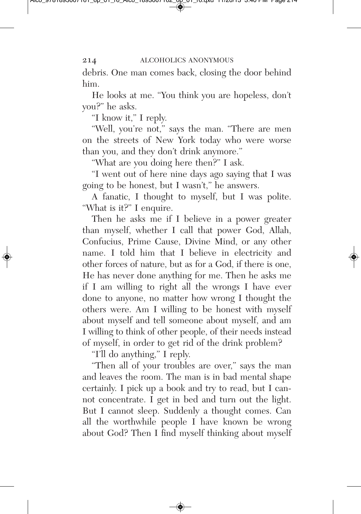214 ALCOHOLICS ANONYMOUS

debris. One man comes back, closing the door behind him.

He looks at me. "You think you are hopeless, don't you?" he asks.

"I know it," I reply.

"Well, you're not," says the man. "There are men on the streets of New York today who were worse than you, and they don't drink anymore."

"What are you doing here then?" I ask.

"I went out of here nine days ago saying that I was going to be honest, but I wasn't," he answers.

A fanatic, I thought to myself, but I was polite. "What is it?" I enquire.

Then he asks me if I believe in a power greater than myself, whether I call that power God, Allah, Confucius, Prime Cause, Divine Mind, or any other name. I told him that I believe in electricity and other forces of nature, but as for a God, if there is one, He has never done anything for me. Then he asks me if I am willing to right all the wrongs I have ever done to anyone, no matter how wrong I thought the others were. Am I willing to be honest with myself about myself and tell someone about myself, and am I willing to think of other people, of their needs instead of myself, in order to get rid of the drink problem?

"I'll do anything," I reply.

"Then all of your troubles are over," says the man and leaves the room. The man is in bad mental shape certainly. I pick up a book and try to read, but I cannot concentrate. I get in bed and turn out the light. But I cannot sleep. Suddenly a thought comes. Can all the worthwhile people I have known be wrong about God? Then I find myself thinking about myself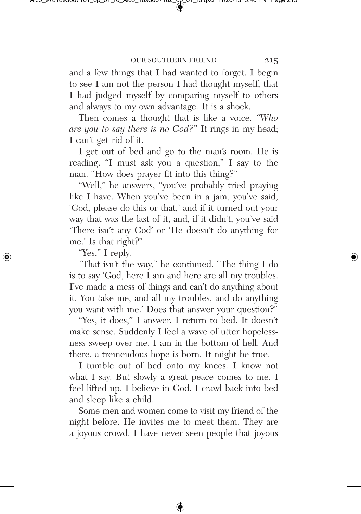and a few things that I had wanted to forget. I begin to see I am not the person I had thought myself, that I had judged myself by comparing myself to others and always to my own advantage. It is a shock.

Then comes a thought that is like a voice. *"Who are you to say there is no God?"* It rings in my head; I can't get rid of it.

I get out of bed and go to the man's room. He is reading. "I must ask you a question," I say to the man. "How does prayer fit into this thing?"

"Well," he answers, "you've probably tried praying like I have. When you've been in a jam, you've said, 'God, please do this or that,' and if it turned out your way that was the last of it, and, if it didn't, you've said 'There isn't any God' or 'He doesn't do anything for me.' Is that right?"

"Yes," I reply.

"That isn't the way," he continued. "The thing I do is to say 'God, here  $I$  am and here are all my troubles. I've made a mess of things and can't do anything about it. You take me, and all my troubles, and do anything you want with me.' Does that answer your question?"

"Yes, it does," I answer. I return to bed. It doesn't make sense. Suddenly I feel a wave of utter hopelessness sweep over me. I am in the bottom of hell. And there, a tremendous hope is born. It might be true.

I tumble out of bed onto my knees. I know not what I say. But slowly a great peace comes to me. I feel lifted up. I believe in God. I crawl back into bed and sleep like a child.

Some men and women come to visit my friend of the night before. He invites me to meet them. They are a joyous crowd. I have never seen people that joyous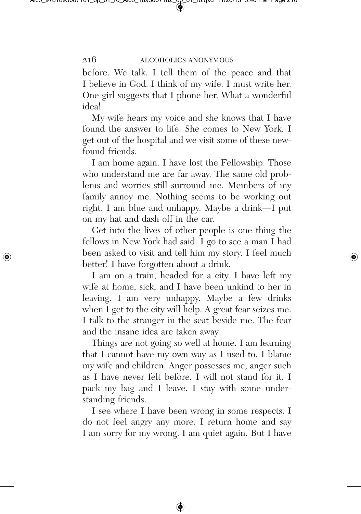before. We talk. I tell them of the peace and that I believe in God. I think of my wife. I must write her. One girl suggests that I phone her. What a wonderful idea!

My wife hears my voice and she knows that I have found the answer to life. She comes to New York. I get out of the hospital and we visit some of these newfound friends.

I am home again. I have lost the Fellowship. Those who understand me are far away. The same old problems and worries still surround me. Members of my family annoy me. Nothing seems to be working out right. I am blue and unhappy. Maybe a drink—I put on my hat and dash off in the car.

Get into the lives of other people is one thing the fellows in New York had said. I go to see a man I had been asked to visit and tell him my story. I feel much better! I have forgotten about a drink.

I am on a train, headed for a city. I have left my wife at home, sick, and I have been unkind to her in leaving. I am very unhappy. Maybe a few drinks when I get to the city will help. A great fear seizes me. I talk to the stranger in the seat beside me. The fear and the insane idea are taken away.

Things are not going so well at home. I am learning that I cannot have my own way as I used to. I blame my wife and children. Anger possesses me, anger such as I have never felt before. I will not stand for it. I pack my bag and I leave. I stay with some understanding friends.

I see where I have been wrong in some respects. I do not feel angry any more. I return home and say I am sorry for my wrong. I am quiet again. But I have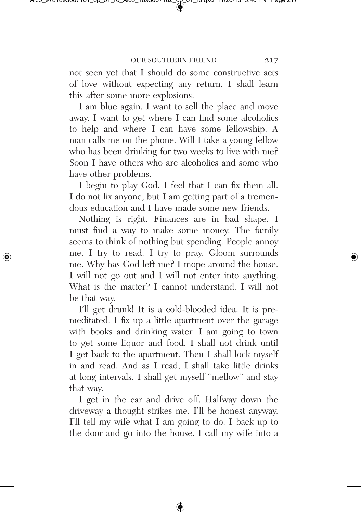not seen yet that I should do some constructive acts of love without expecting any return. I shall learn this after some more explosions.

I am blue again. I want to sell the place and move away. I want to get where I can find some alcoholics to help and where I can have some fellowship. A man calls me on the phone. Will I take a young fellow who has been drinking for two weeks to live with me? Soon I have others who are alcoholics and some who have other problems.

I begin to play God. I feel that I can fix them all. I do not fix anyone, but I am getting part of a tremendous education and I have made some new friends.

Nothing is right. Finances are in bad shape. I must find a way to make some money. The family seems to think of nothing but spending. People annoy me. I try to read. I try to pray. Gloom surrounds me. Why has God left me? I mope around the house. I will not go out and I will not enter into anything. What is the matter? I cannot understand. I will not be that way.

I'll get drunk! It is a cold-blooded idea. It is premeditated. I fix up a little apartment over the garage with books and drinking water. I am going to town to get some liquor and food. I shall not drink until I get back to the apartment. Then I shall lock myself in and read. And as I read, I shall take little drinks at long intervals. I shall get myself "mellow" and stay that way.

I get in the car and drive off. Halfway down the driveway a thought strikes me. I'll be honest anyway. I'll tell my wife what I am going to do. I back up to the door and go into the house. I call my wife into a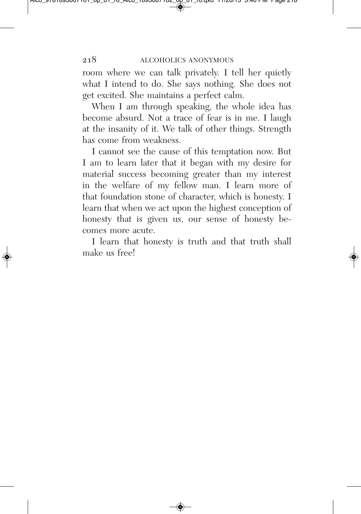room where we can talk privately. I tell her quietly what I intend to do. She says nothing. She does not get excited. She maintains a perfect calm.

When I am through speaking, the whole idea has become absurd. Not a trace of fear is in me. I laugh at the insanity of it. We talk of other things. Strength has come from weakness.

I cannot see the cause of this temptation now. But I am to learn later that it began with my desire for material success becoming greater than my interest in the welfare of my fellow man. I learn more of that foundation stone of character, which is honesty. I learn that when we act upon the highest conception of honesty that is given us, our sense of honesty becomes more acute.

I learn that honesty is truth and that truth shall make us free!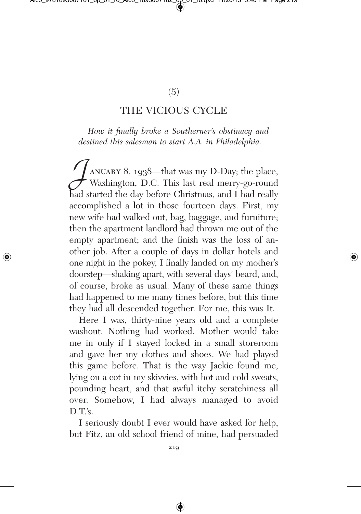# (5)

## THE VICIOUS CYCLE

*How it finally broke a Southerner's obstinacy and destined this salesman to start A.A. in Philadelphia.*

**J** ANUARY 8, 1938—that was my D-Day; the place,<br>Washington, D.C. This last real merry-go-round had started the day before Christmas, and I had really accomplished a lot in those fourteen days. First, my new wife had walked out, bag, baggage, and furniture; then the apartment landlord had thrown me out of the empty apartment; and the finish was the loss of another job. After a couple of days in dollar hotels and one night in the pokey, I finally landed on my mother's doorstep—shaking apart, with several days' beard, and, of course, broke as usual. Many of these same things had happened to me many times before, but this time they had all descended together. For me, this was It.

Here I was, thirty-nine years old and a complete washout. Nothing had worked. Mother would take me in only if I stayed locked in a small storeroom and gave her my clothes and shoes. We had played this game before. That is the way Jackie found me, lying on a cot in my skivvies, with hot and cold sweats, pounding heart, and that awful itchy scratchiness all over. Somehow, I had always managed to avoid  $DT's$ 

I seriously doubt I ever would have asked for help, but Fitz, an old school friend of mine, had persuaded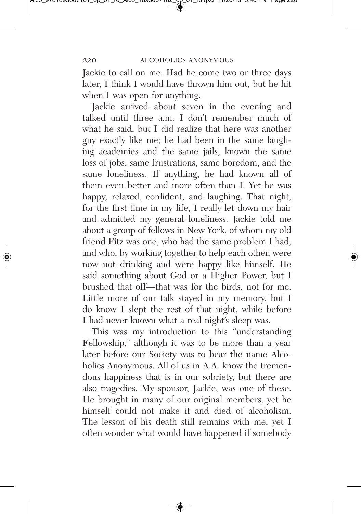Jackie to call on me. Had he come two or three days later, I think I would have thrown him out, but he hit when I was open for anything.

Jackie arrived about seven in the evening and talked until three a.m. I don't remember much of what he said, but I did realize that here was another guy exactly like me; he had been in the same laughing academies and the same jails, known the same loss of jobs, same frustrations, same boredom, and the same loneliness. If anything, he had known all of them even better and more often than I. Yet he was happy, relaxed, confident, and laughing. That night, for the first time in my life, I really let down my hair and admitted my general loneliness. Jackie told me about a group of fellows in New York, of whom my old friend Fitz was one, who had the same problem I had, and who, by working together to help each other, were now not drinking and were happy like himself. He said something about God or a Higher Power, but I brushed that off—that was for the birds, not for me. Little more of our talk stayed in my memory, but I do know I slept the rest of that night, while before I had never known what a real night's sleep was.

This was my introduction to this "understanding Fellowship," although it was to be more than a year later before our Society was to bear the name Alcoholics Anonymous. All of us in A.A. know the tremendous happiness that is in our sobriety, but there are also tragedies. My sponsor, Jackie, was one of these. He brought in many of our original members, yet he himself could not make it and died of alcoholism. The lesson of his death still remains with me, yet I often wonder what would have happened if somebody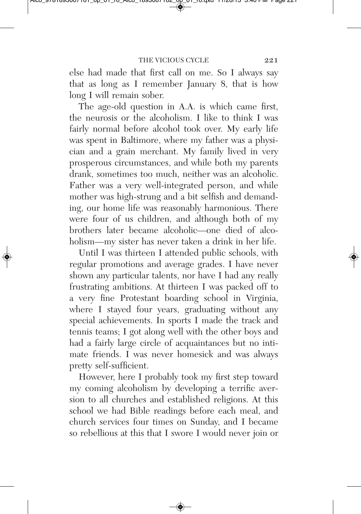else had made that first call on me. So I always say that as long as I remember January 8, that is how long I will remain sober.

The age-old question in A.A. is which came first, the neurosis or the alcoholism. I like to think I was fairly normal before alcohol took over. My early life was spent in Baltimore, where my father was a physician and a grain merchant. My family lived in very prosperous circumstances, and while both my parents drank, sometimes too much, neither was an alcoholic. Father was a very well-integrated person, and while mother was high-strung and a bit selfish and demanding, our home life was reasonably harmonious. There were four of us children, and although both of my brothers later became alcoholic—one died of alcoholism—my sister has never taken a drink in her life.

Until I was thirteen I attended public schools, with regular promotions and average grades. I have never shown any particular talents, nor have I had any really frustrating ambitions. At thirteen I was packed off to a very fine Protestant boarding school in Virginia, where I stayed four years, graduating without any special achievements. In sports I made the track and tennis teams; I got along well with the other boys and had a fairly large circle of acquaintances but no intimate friends. I was never homesick and was always pretty self-sufficient.

However, here I probably took my first step toward my coming alcoholism by developing a terrific aversion to all churches and established religions. At this school we had Bible readings before each meal, and church services four times on Sunday, and I became so rebellious at this that I swore I would never join or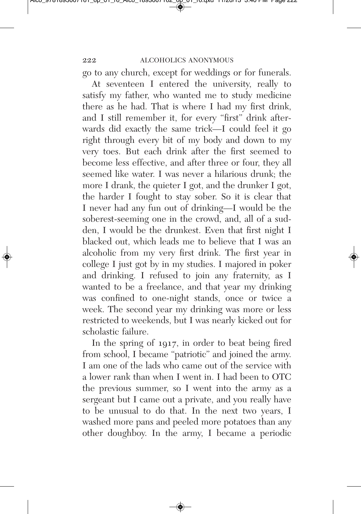go to any church, except for weddings or for funerals.

At seventeen I entered the university, really to satisfy my father, who wanted me to study medicine there as he had. That is where I had my first drink, and I still remember it, for every "first" drink afterwards did exactly the same trick—I could feel it go right through every bit of my body and down to my very toes. But each drink after the first seemed to become less effective, and after three or four, they all seemed like water. I was never a hilarious drunk; the more I drank, the quieter I got, and the drunker I got, the harder I fought to stay sober. So it is clear that I never had any fun out of drinking—I would be the soberest-seeming one in the crowd, and, all of a sudden, I would be the drunkest. Even that first night I blacked out, which leads me to believe that I was an alcoholic from my very first drink. The first year in college I just got by in my studies. I majored in poker and drinking. I refused to join any fraternity, as I wanted to be a freelance, and that year my drinking was confined to one-night stands, once or twice a week. The second year my drinking was more or less restricted to weekends, but I was nearly kicked out for scholastic failure.

In the spring of 1917, in order to beat being fired from school, I became "patriotic" and joined the army. I am one of the lads who came out of the service with a lower rank than when I went in. I had been to OTC the previous summer, so I went into the army as a sergeant but I came out a private, and you really have to be unusual to do that. In the next two years, I washed more pans and peeled more potatoes than any other doughboy. In the army, I became a periodic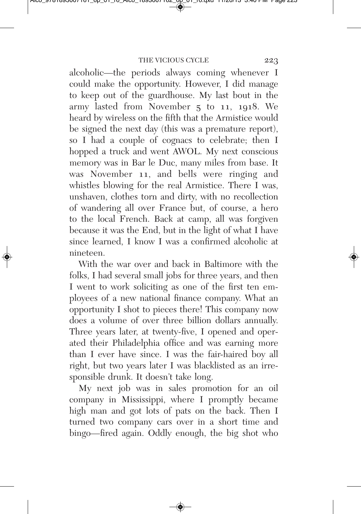alcoholic—the periods always coming whenever I could make the opportunity. However, I did manage to keep out of the guardhouse. My last bout in the army lasted from November 5 to 11, 1918. We heard by wireless on the fifth that the Armistice would be signed the next day (this was a premature report), so I had a couple of cognacs to celebrate; then I hopped a truck and went AWOL. My next conscious memory was in Bar le Duc, many miles from base. It was November 11, and bells were ringing and whistles blowing for the real Armistice. There I was, unshaven, clothes torn and dirty, with no recollection of wandering all over France but, of course, a hero to the local French. Back at camp, all was forgiven because it was the End, but in the light of what I have since learned, I know I was a confirmed alcoholic at nineteen.

With the war over and back in Baltimore with the folks, I had several small jobs for three years, and then I went to work soliciting as one of the first ten employees of a new national finance company. What an opportunity I shot to pieces there! This company now does a volume of over three billion dollars annually. Three years later, at twenty-five, I opened and operated their Philadelphia office and was earning more than I ever have since. I was the fair-haired boy all right, but two years later I was blacklisted as an irresponsible drunk. It doesn't take long.

My next job was in sales promotion for an oil company in Mississippi, where I promptly became high man and got lots of pats on the back. Then I turned two company cars over in a short time and bingo—fired again. Oddly enough, the big shot who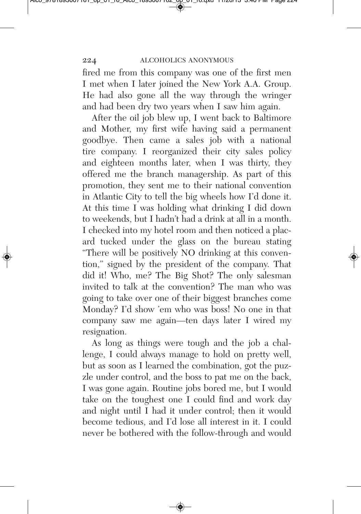fired me from this company was one of the first men I met when I later joined the New York A.A. Group. He had also gone all the way through the wringer and had been dry two years when I saw him again.

After the oil job blew up, I went back to Baltimore and Mother, my first wife having said a permanent goodbye. Then came a sales job with a national tire company. I reorganized their city sales policy and eighteen months later, when I was thirty, they offered me the branch managership. As part of this promotion, they sent me to their national convention in Atlantic City to tell the big wheels how I'd done it. At this time I was holding what drinking I did down to weekends, but I hadn't had a drink at all in a month. I checked into my hotel room and then noticed a placard tucked under the glass on the bureau stating "There will be positively NO drinking at this convention," signed by the president of the company. That did it! Who, me? The Big Shot? The only salesman invited to talk at the convention? The man who was going to take over one of their biggest branches come Monday? I'd show 'em who was boss! No one in that company saw me again—ten days later I wired my resignation.

As long as things were tough and the job a challenge, I could always manage to hold on pretty well, but as soon as I learned the combination, got the puzzle under control, and the boss to pat me on the back, I was gone again. Routine jobs bored me, but I would take on the toughest one I could find and work day and night until I had it under control; then it would become tedious, and I'd lose all interest in it. I could never be bothered with the follow-through and would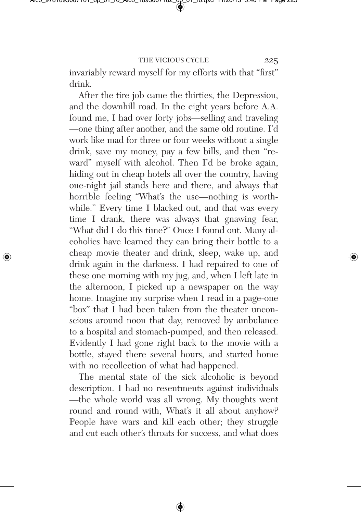invariably reward myself for my efforts with that "first" drink.

After the tire job came the thirties, the Depression, and the downhill road. In the eight years before A.A. found me, I had over forty jobs—selling and traveling —one thing after another, and the same old routine. I'd work like mad for three or four weeks without a single drink, save my money, pay a few bills, and then "reward" myself with alcohol. Then I'd be broke again, hiding out in cheap hotels all over the country, having one-night jail stands here and there, and always that horrible feeling "What's the use—nothing is worthwhile." Every time I blacked out, and that was every time I drank, there was always that gnawing fear, "What did I do this time?" Once I found out. Many alcoholics have learned they can bring their bottle to a cheap movie theater and drink, sleep, wake up, and drink again in the darkness. I had repaired to one of these one morning with my jug, and, when I left late in the afternoon, I picked up a newspaper on the way home. Imagine my surprise when I read in a page-one "box" that I had been taken from the theater unconscious around noon that day, removed by ambulance to a hospital and stomach-pumped, and then released. Evidently I had gone right back to the movie with a bottle, stayed there several hours, and started home with no recollection of what had happened.

The mental state of the sick alcoholic is beyond description. I had no resentments against individuals —the whole world was all wrong. My thoughts went round and round with, What's it all about anyhow? People have wars and kill each other; they struggle and cut each other's throats for success, and what does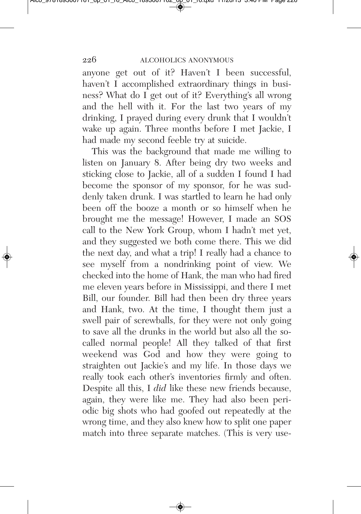anyone get out of it? Haven't I been successful, haven't I accomplished extraordinary things in business? What do I get out of it? Everything's all wrong and the hell with it. For the last two years of my drinking, I prayed during every drunk that I wouldn't wake up again. Three months before I met Jackie, I had made my second feeble try at suicide.

This was the background that made me willing to listen on January 8. After being dry two weeks and sticking close to Jackie, all of a sudden I found I had become the sponsor of my sponsor, for he was suddenly taken drunk. I was startled to learn he had only been off the booze a month or so himself when he brought me the message! However, I made an SOS call to the New York Group, whom I hadn't met yet, and they suggested we both come there. This we did the next day, and what a trip! I really had a chance to see myself from a nondrinking point of view. We checked into the home of Hank, the man who had fired me eleven years before in Mississippi, and there I met Bill, our founder. Bill had then been dry three years and Hank, two. At the time, I thought them just a swell pair of screwballs, for they were not only going to save all the drunks in the world but also all the socalled normal people! All they talked of that first weekend was God and how they were going to straighten out Jackie's and my life. In those days we really took each other's inventories firmly and often. Despite all this, I *did* like these new friends because, again, they were like me. They had also been periodic big shots who had goofed out repeatedly at the wrong time, and they also knew how to split one paper match into three separate matches. (This is very use-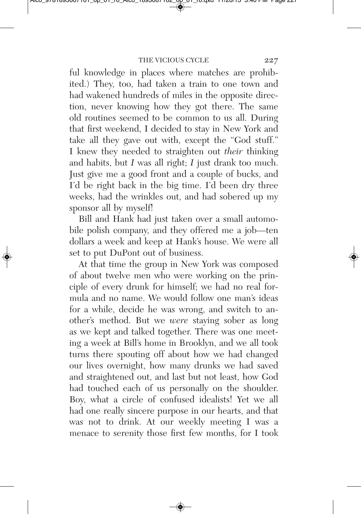ful knowledge in places where matches are prohibited.) They, too, had taken a train to one town and had wakened hundreds of miles in the opposite direction, never knowing how they got there. The same old routines seemed to be common to us all. During that first weekend, I decided to stay in New York and take all they gave out with, except the "God stuff." I knew they needed to straighten out *their* thinking and habits, but *I* was all right; *I* just drank too much. Just give me a good front and a couple of bucks, and I'd be right back in the big time. I'd been dry three weeks, had the wrinkles out, and had sobered up my sponsor all by myself!

Bill and Hank had just taken over a small automobile polish company, and they offered me a job—ten dollars a week and keep at Hank's house. We were all set to put DuPont out of business.

At that time the group in New York was composed of about twelve men who were working on the principle of every drunk for himself; we had no real formula and no name. We would follow one man's ideas for a while, decide he was wrong, and switch to another's method. But we *were* staying sober as long as we kept and talked together. There was one meeting a week at Bill's home in Brooklyn, and we all took turns there spouting off about how we had changed our lives overnight, how many drunks we had saved and straightened out, and last but not least, how God had touched each of us personally on the shoulder. Boy, what a circle of confused idealists! Yet we all had one really sincere purpose in our hearts, and that was not to drink. At our weekly meeting I was a menace to serenity those first few months, for I took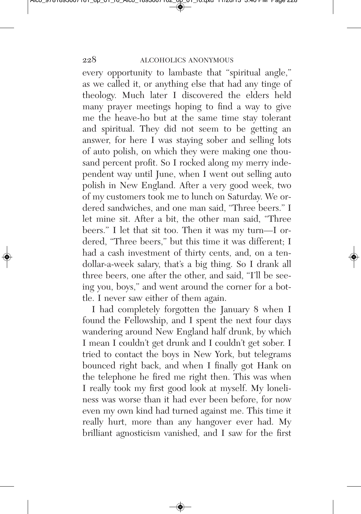every opportunity to lambaste that "spiritual angle," as we called it, or anything else that had any tinge of theology. Much later I discovered the elders held many prayer meetings hoping to find a way to give me the heave-ho but at the same time stay tolerant and spiritual. They did not seem to be getting an answer, for here I was staying sober and selling lots of auto polish, on which they were making one thousand percent profit. So I rocked along my merry independent way until June, when I went out selling auto polish in New England. After a very good week, two of my customers took me to lunch on Saturday. We ordered sandwiches, and one man said, "Three beers." I let mine sit. After a bit, the other man said, "Three beers." I let that sit too. Then it was my turn—I ordered, "Three beers," but this time it was different; I had a cash investment of thirty cents, and, on a tendollar-a-week salary, that's a big thing. So I drank all three beers, one after the other, and said, "I'll be seeing you, boys," and went around the corner for a bottle. I never saw either of them again.

I had completely forgotten the January 8 when I found the Fellowship, and I spent the next four days wandering around New England half drunk, by which I mean I couldn't get drunk and I couldn't get sober. I tried to contact the boys in New York, but telegrams bounced right back, and when I finally got Hank on the telephone he fired me right then. This was when I really took my first good look at myself. My loneliness was worse than it had ever been before, for now even my own kind had turned against me. This time it really hurt, more than any hangover ever had. My brilliant agnosticism vanished, and I saw for the first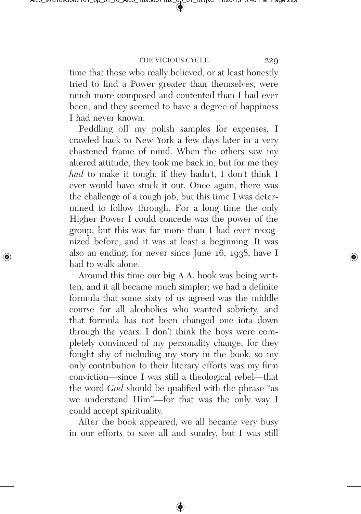time that those who really believed, or at least honestly tried to find a Power greater than themselves, were much more composed and contented than I had ever been, and they seemed to have a degree of happiness I had never known.

Peddling off my polish samples for expenses, I crawled back to New York a few days later in a very chastened frame of mind. When the others saw my altered attitude, they took me back in, but for me they *had* to make it tough; if they hadn't, I don't think I ever would have stuck it out. Once again, there was the challenge of a tough job, but this time I was determined to follow through. For a long time the only Higher Power I could concede was the power of the group, but this was far more than I had ever recognized before, and it was at least a beginning. It was also an ending, for never since June 16, 1938, have I had to walk alone.

Around this time our big A.A. book was being written, and it all became much simpler; we had a definite formula that some sixty of us agreed was the middle course for all alcoholics who wanted sobriety, and that formula has not been changed one iota down through the years. I don't think the boys were completely convinced of my personality change, for they fought shy of including my story in the book, so my only contribution to their literary efforts was my firm conviction—since I was still a theological rebel—that the word *God* should be qualified with the phrase "as we understand Him"—for that was the only way I could accept spirituality.

After the book appeared, we all became very busy in our efforts to save all and sundry, but I was still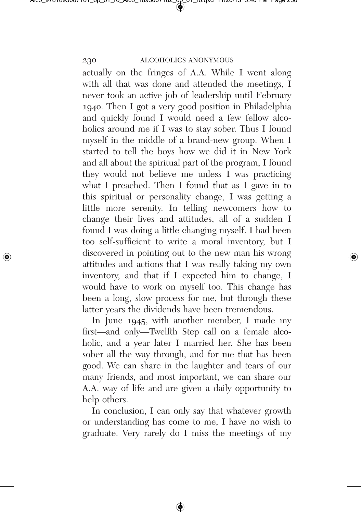actually on the fringes of A.A. While I went along with all that was done and attended the meetings, I never took an active job of leadership until February 1940. Then I got a very good position in Philadelphia and quickly found I would need a few fellow alcoholics around me if I was to stay sober. Thus I found myself in the middle of a brand-new group. When I started to tell the boys how we did it in New York and all about the spiritual part of the program, I found they would not believe me unless I was practicing what I preached. Then I found that as I gave in to this spiritual or personality change, I was getting a little more serenity. In telling newcomers how to change their lives and attitudes, all of a sudden I found I was doing a little changing myself. I had been too self-sufficient to write a moral inventory, but I discovered in pointing out to the new man his wrong attitudes and actions that I was really taking my own inventory, and that if I expected him to change, I would have to work on myself too. This change has been a long, slow process for me, but through these latter years the dividends have been tremendous.

In June 1945, with another member, I made my first—and only—Twelfth Step call on a female alcoholic, and a year later I married her. She has been sober all the way through, and for me that has been good. We can share in the laughter and tears of our many friends, and most important, we can share our A.A. way of life and are given a daily opportunity to help others.

In conclusion, I can only say that whatever growth or understanding has come to me, I have no wish to graduate. Very rarely do I miss the meetings of my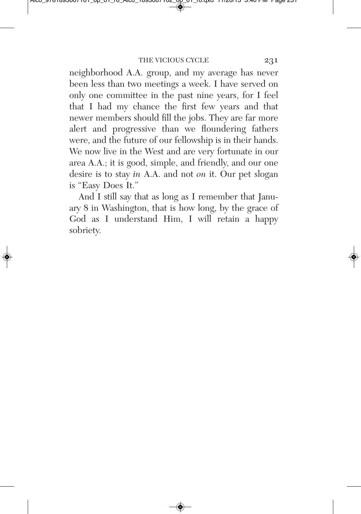neighborhood A.A. group, and my average has never been less than two meetings a week. I have served on only one committee in the past nine years, for I feel that I had my chance the first few years and that newer members should fill the jobs. They are far more alert and progressive than we floundering fathers were, and the future of our fellowship is in their hands. We now live in the West and are very fortunate in our area A.A.; it is good, simple, and friendly, and our one desire is to stay *in* A.A. and not *on* it. Our pet slogan is "Easy Does It."

And I still say that as long as I remember that January 8 in Washington, that is how long, by the grace of God as I understand Him, I will retain a happy sobriety.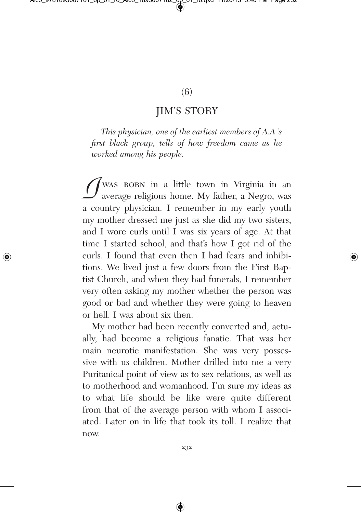### JIM'S STORY

*This physician, one of the earliest members of A.A.'s first black group, tells of how freedom came as he worked among his people.*

IVMAS BORN in a little town in Virginia in an average religious home. My father, a Negro, was a country physician. I remember in my early youth my mother dressed me just as she did my two sisters, and I wore curls until I was six years of age. At that time I started school, and that's how I got rid of the curls. I found that even then I had fears and inhibitions. We lived just a few doors from the First Baptist Church, and when they had funerals, I remember very often asking my mother whether the person was good or bad and whether they were going to heaven or hell. I was about six then.

My mother had been recently converted and, actually, had become a religious fanatic. That was her main neurotic manifestation. She was very possessive with us children. Mother drilled into me a very Puritanical point of view as to sex relations, as well as to motherhood and womanhood. I'm sure my ideas as to what life should be like were quite different from that of the average person with whom I associated. Later on in life that took its toll. I realize that now.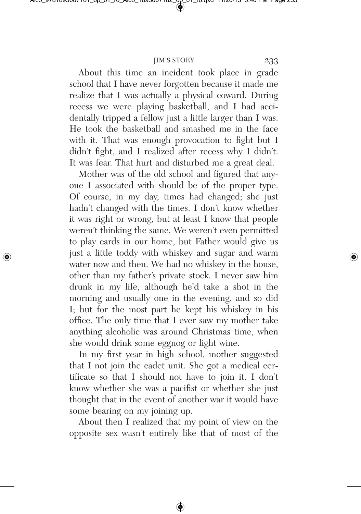About this time an incident took place in grade school that I have never forgotten because it made me realize that I was actually a physical coward. During recess we were playing basketball, and I had accidentally tripped a fellow just a little larger than I was. He took the basketball and smashed me in the face with it. That was enough provocation to fight but I didn't fight, and I realized after recess why I didn't. It was fear. That hurt and disturbed me a great deal.

Mother was of the old school and figured that anyone I associated with should be of the proper type. Of course, in my day, times had changed; she just hadn't changed with the times. I don't know whether it was right or wrong, but at least I know that people weren't thinking the same. We weren't even permitted to play cards in our home, but Father would give us just a little toddy with whiskey and sugar and warm water now and then. We had no whiskey in the house, other than my father's private stock. I never saw him drunk in my life, although he'd take a shot in the morning and usually one in the evening, and so did I; but for the most part he kept his whiskey in his office. The only time that I ever saw my mother take anything alcoholic was around Christmas time, when she would drink some eggnog or light wine.

In my first year in high school, mother suggested that I not join the cadet unit. She got a medical certificate so that I should not have to join it. I don't know whether she was a pacifist or whether she just thought that in the event of another war it would have some bearing on my joining up.

About then I realized that my point of view on the opposite sex wasn't entirely like that of most of the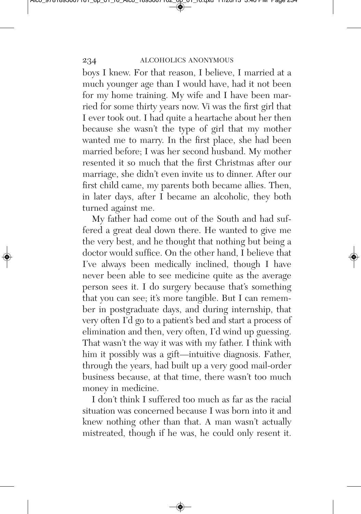boys I knew. For that reason, I believe, I married at a much younger age than I would have, had it not been for my home training. My wife and I have been married for some thirty years now. Vi was the first girl that I ever took out. I had quite a heartache about her then because she wasn't the type of girl that my mother wanted me to marry. In the first place, she had been married before; I was her second husband. My mother resented it so much that the first Christmas after our marriage, she didn't even invite us to dinner. After our first child came, my parents both became allies. Then, in later days, after I became an alcoholic, they both turned against me.

My father had come out of the South and had suffered a great deal down there. He wanted to give me the very best, and he thought that nothing but being a doctor would suffice. On the other hand, I believe that I've always been medically inclined, though I have never been able to see medicine quite as the average person sees it. I do surgery because that's something that you can see; it's more tangible. But I can remember in postgraduate days, and during internship, that very often I'd go to a patient's bed and start a process of elimination and then, very often, I'd wind up guessing. That wasn't the way it was with my father. I think with him it possibly was a gift—intuitive diagnosis. Father, through the years, had built up a very good mail-order business because, at that time, there wasn't too much money in medicine.

I don't think I suffered too much as far as the racial situation was concerned because I was born into it and knew nothing other than that. A man wasn't actually mistreated, though if he was, he could only resent it.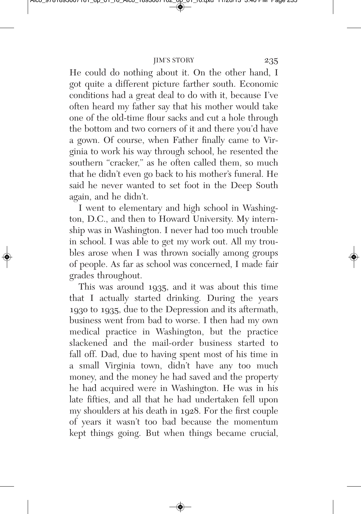He could do nothing about it. On the other hand, I got quite a different picture farther south. Economic conditions had a great deal to do with it, because I've often heard my father say that his mother would take one of the old-time flour sacks and cut a hole through the bottom and two corners of it and there you'd have a gown. Of course, when Father finally came to Vir ginia to work his way through school, he resented the southern "cracker," as he often called them, so much that he didn't even go back to his mother's funeral. He said he never wanted to set foot in the Deep South again, and he didn't.

I went to elementary and high school in Washington, D.C., and then to Howard University. My internship was in Washington. I never had too much trouble in school. I was able to get my work out. All my troubles arose when I was thrown socially among groups of people. As far as school was concerned, I made fair grades throughout.

This was around 1935, and it was about this time that I actually started drinking. During the years 1930 to 1935, due to the Depression and its aftermath, business went from bad to worse. I then had my own medical practice in Washington, but the practice slackened and the mail-order business started to fall off. Dad, due to having spent most of his time in a small Virginia town, didn't have any too much money, and the money he had saved and the property he had acquired were in Washington. He was in his late fifties, and all that he had undertaken fell upon my shoulders at his death in 1928. For the first couple of years it wasn't too bad because the momentum kept things going. But when things became crucial,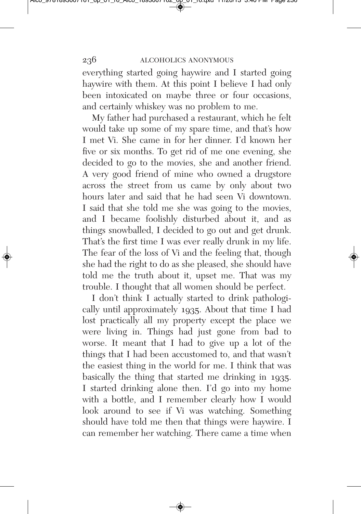everything started going haywire and I started going haywire with them. At this point I believe I had only been intoxicated on maybe three or four occasions, and certainly whiskey was no problem to me.

My father had purchased a restaurant, which he felt would take up some of my spare time, and that's how I met Vi. She came in for her dinner. I'd known her five or six months. To get rid of me one evening, she decided to go to the movies, she and another friend. A very good friend of mine who owned a drugstore across the street from us came by only about two hours later and said that he had seen Vi downtown. I said that she told me she was going to the movies, and I became foolishly disturbed about it, and as things snowballed, I decided to go out and get drunk. That's the first time I was ever really drunk in my life. The fear of the loss of Vi and the feeling that, though she had the right to do as she pleased, she should have told me the truth about it, upset me. That was my trouble. I thought that all women should be perfect.

I don't think I actually started to drink pathologically until approximately 1935. About that time I had lost practically all my property except the place we were living in. Things had just gone from bad to worse. It meant that I had to give up a lot of the things that I had been accustomed to, and that wasn't the easiest thing in the world for me. I think that was basically the thing that started me drinking in 1935. I started drinking alone then. I'd go into my home with a bottle, and I remember clearly how I would look around to see if Vi was watching. Something should have told me then that things were haywire. I can remember her watching. There came a time when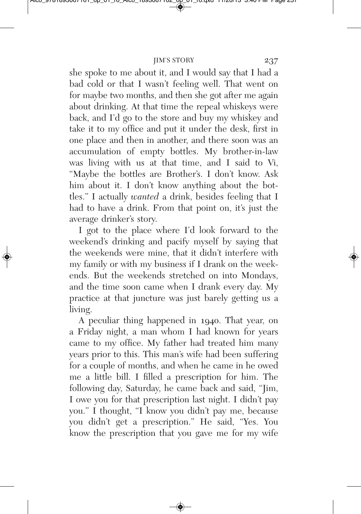she spoke to me about it, and I would say that I had a bad cold or that I wasn't feeling well. That went on for maybe two months, and then she got after me again about drinking. At that time the repeal whiskeys were back, and I'd go to the store and buy my whiskey and take it to my office and put it under the desk, first in one place and then in another, and there soon was an accumulation of empty bottles. My brother-in-law was living with us at that time, and I said to Vi, "Maybe the bottles are Brother's. I don't know. Ask him about it. I don't know anything about the bottles." I actually *wanted* a drink, besides feeling that I had to have a drink. From that point on, it's just the average drinker's story.

I got to the place where I'd look forward to the weekend's drinking and pacify myself by saying that the weekends were mine, that it didn't interfere with my family or with my business if I drank on the weekends. But the weekends stretched on into Mondays, and the time soon came when I drank every day. My practice at that juncture was just barely getting us a living.

A peculiar thing happened in 1940. That year, on a Friday night, a man whom I had known for years came to my office. My father had treated him many years prior to this. This man's wife had been suffering for a couple of months, and when he came in he owed me a little bill. I filled a prescription for him. The following day, Saturday, he came back and said, "Jim, I owe you for that prescription last night. I didn't pay you." I thought, "I know you didn't pay me, because you didn't get a prescription." He said, "Yes. You know the prescription that you gave me for my wife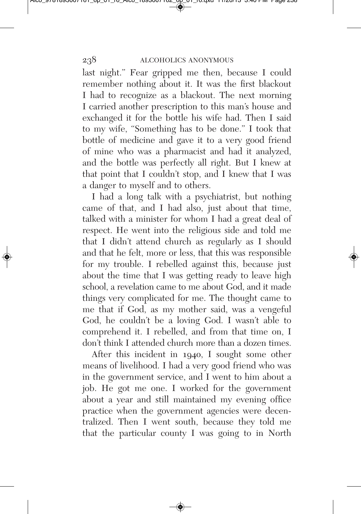last night." Fear gripped me then, because I could remember nothing about it. It was the first blackout I had to recognize as a blackout. The next morning I carried another prescription to this man's house and exchanged it for the bottle his wife had. Then I said to my wife, "Something has to be done." I took that bottle of medicine and gave it to a very good friend of mine who was a pharmacist and had it analyzed, and the bottle was perfectly all right. But I knew at that point that I couldn't stop, and I knew that I was a danger to myself and to others.

I had a long talk with a psychiatrist, but nothing came of that, and I had also, just about that time, talked with a minister for whom I had a great deal of respect. He went into the religious side and told me that I didn't attend church as regularly as I should and that he felt, more or less, that this was responsible for my trouble. I rebelled against this, because just about the time that I was getting ready to leave high school, a revelation came to me about God, and it made things very complicated for me. The thought came to me that if God, as my mother said, was a vengeful God, he couldn't be a loving God. I wasn't able to comprehend it. I rebelled, and from that time on, I don't think I attended church more than a dozen times.

After this incident in 1940, I sought some other means of livelihood. I had a very good friend who was in the government service, and I went to him about a job. He got me one. I worked for the government about a year and still maintained my evening office practice when the government agencies were decentralized. Then I went south, because they told me that the particular county I was going to in North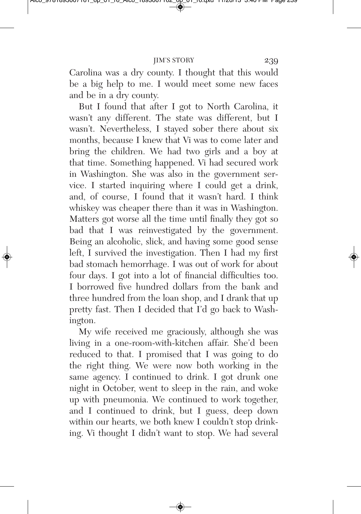Carolina was a dry county. I thought that this would be a big help to me. I would meet some new faces and be in a dry county.

But I found that after I got to North Carolina, it wasn't any different. The state was different, but I wasn't. Nevertheless, I stayed sober there about six months, because I knew that Vi was to come later and bring the children. We had two girls and a boy at that time. Something happened. Vi had secured work in Washington. She was also in the government service. I started inquiring where I could get a drink, and, of course, I found that it wasn't hard. I think whiskey was cheaper there than it was in Washington. Matters got worse all the time until finally they got so bad that I was reinvestigated by the government. Being an alcoholic, slick, and having some good sense left, I survived the investigation. Then I had my first bad stomach hemorrhage. I was out of work for about four days. I got into a lot of financial difficulties too. I borrowed five hundred dollars from the bank and three hundred from the loan shop, and I drank that up pretty fast. Then I decided that I'd go back to Washington.

My wife received me graciously, although she was living in a one-room-with-kitchen affair. She'd been reduced to that. I promised that I was going to do the right thing. We were now both working in the same agency. I continued to drink. I got drunk one night in October, went to sleep in the rain, and woke up with pneumonia. We continued to work together, and I continued to drink, but I guess, deep down within our hearts, we both knew I couldn't stop drinking. Vi thought I didn't want to stop. We had several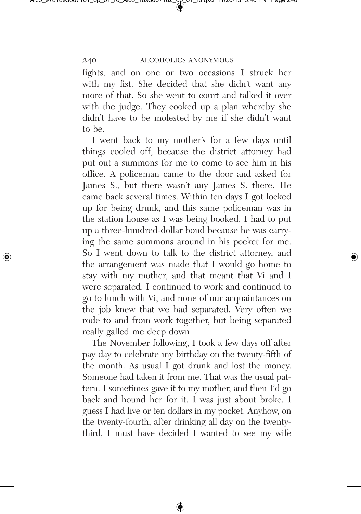fights, and on one or two occasions I struck her with my fist. She decided that she didn't want any more of that. So she went to court and talked it over with the judge. They cooked up a plan whereby she didn't have to be molested by me if she didn't want to be.

I went back to my mother's for a few days until things cooled off, because the district attorney had put out a summons for me to come to see him in his office. A policeman came to the door and asked for James S., but there wasn't any James S. there. He came back several times. Within ten days I got locked up for being drunk, and this same policeman was in the station house as I was being booked. I had to put up a three-hundred-dollar bond because he was carrying the same summons around in his pocket for me. So I went down to talk to the district attorney, and the arrangement was made that I would go home to stay with my mother, and that meant that Vi and I were separated. I continued to work and continued to go to lunch with Vi, and none of our acquaintances on the job knew that we had separated. Very often we rode to and from work together, but being separated really galled me deep down.

The November following, I took a few days off after pay day to celebrate my birthday on the twenty-fifth of the month. As usual I got drunk and lost the money. Someone had taken it from me. That was the usual pattern. I sometimes gave it to my mother, and then I'd go back and hound her for it. I was just about broke. I guess I had five or ten dollars in my pocket. Anyhow, on the twenty-fourth, after drinking all day on the twentythird, I must have decided I wanted to see my wife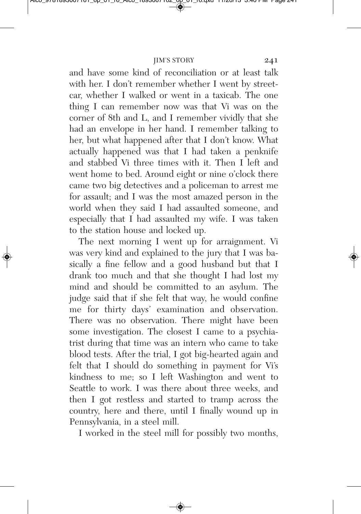and have some kind of reconciliation or at least talk with her. I don't remember whether I went by streetcar, whether I walked or went in a taxicab. The one thing I can remember now was that Vi was on the corner of 8th and L, and I remember vividly that she had an envelope in her hand. I remember talking to her, but what happened after that I don't know. What actually happened was that I had taken a penknife and stabbed Vi three times with it. Then I left and went home to bed. Around eight or nine o'clock there came two big detectives and a policeman to arrest me for assault; and I was the most amazed person in the world when they said I had assaulted someone, and especially that I had assaulted my wife. I was taken to the station house and locked up.

The next morning I went up for arraignment. Vi was very kind and explained to the jury that I was basically a fine fellow and a good husband but that I drank too much and that she thought I had lost my mind and should be committed to an asylum. The judge said that if she felt that way, he would confine me for thirty days' examination and observation. There was no observation. There might have been some investigation. The closest I came to a psychiatrist during that time was an intern who came to take blood tests. After the trial, I got big-hearted again and felt that I should do something in payment for Vi's kindness to me; so I left Washington and went to Seattle to work. I was there about three weeks, and then I got restless and started to tramp across the country, here and there, until I finally wound up in Pennsylvania, in a steel mill.

I worked in the steel mill for possibly two months,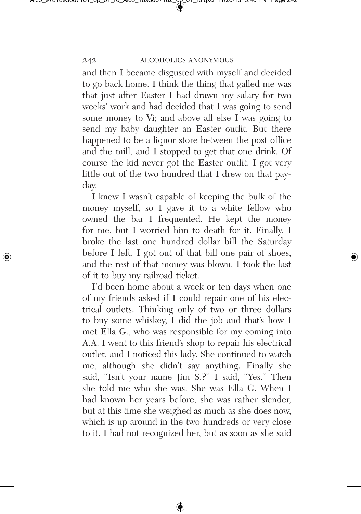and then I became disgusted with myself and decided to go back home. I think the thing that galled me was that just after Easter I had drawn my salary for two weeks' work and had decided that I was going to send some money to Vi; and above all else  $\overline{I}$  was going to send my baby daughter an Easter outfit. But there happened to be a liquor store between the post office and the mill, and I stopped to get that one drink. Of course the kid never got the Easter outfit. I got very little out of the two hundred that I drew on that payday.

I knew I wasn't capable of keeping the bulk of the money myself, so  $I$  gave it to a white fellow who owned the bar I frequented. He kept the money for me, but I worried him to death for it. Finally, I broke the last one hundred dollar bill the Saturday before I left. I got out of that bill one pair of shoes, and the rest of that money was blown. I took the last of it to buy my railroad ticket.

I'd been home about a week or ten days when one of my friends asked if I could repair one of his electrical outlets. Thinking only of two or three dollars to buy some whiskey, I did the job and that's how I met Ella G., who was responsible for my coming into A.A. I went to this friend's shop to repair his electrical outlet, and I noticed this lady. She continued to watch me, although she didn't say anything. Finally she said, "Isn't your name Jim S.?" I said, "Yes." Then she told me who she was. She was Ella G. When I had known her years before, she was rather slender, but at this time she weighed as much as she does now, which is up around in the two hundreds or very close to it. I had not recognized her, but as soon as she said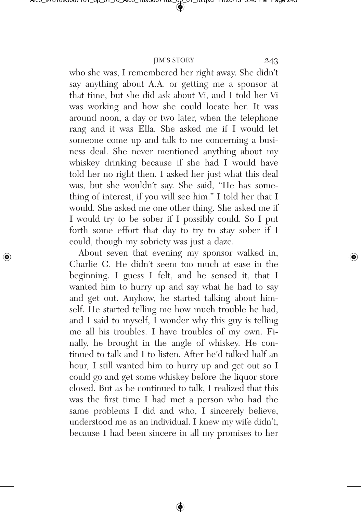who she was, I remembered her right away. She didn't say anything about A.A. or getting me a sponsor at that time, but she did ask about Vi, and I told her Vi was working and how she could locate her. It was around noon, a day or two later, when the telephone rang and it was Ella. She asked me if I would let someone come up and talk to me concerning a business deal. She never mentioned anything about my whiskey drinking because if she had I would have told her no right then. I asked her just what this deal was, but she wouldn't say. She said, "He has something of interest, if you will see him." I told her that I would. She asked me one other thing. She asked me if I would try to be sober if I possibly could. So I put forth some effort that day to try to stay sober if I could, though my sobriety was just a daze.

About seven that evening my sponsor walked in, Charlie G. He didn't seem too much at ease in the beginning. I guess I felt, and he sensed it, that I wanted him to hurry up and say what he had to say and get out. Anyhow, he started talking about himself. He started telling me how much trouble he had, and I said to myself, I wonder why this guy is telling me all his troubles. I have troubles of my own. Finally, he brought in the angle of whiskey. He continued to talk and I to listen. After he'd talked half an hour, I still wanted him to hurry up and get out so I could go and get some whiskey before the liquor store closed. But as he continued to talk, I realized that this was the first time I had met a person who had the same problems I did and who, I sincerely believe, understood me as an individual. I knew my wife didn't, because I had been sincere in all my promises to her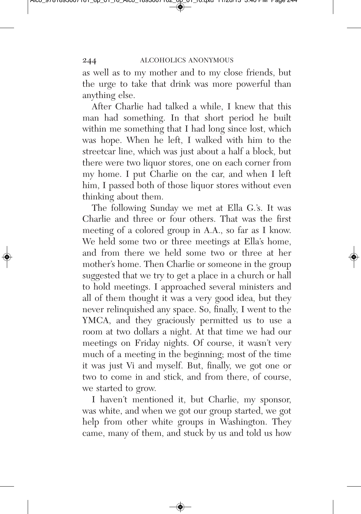as well as to my mother and to my close friends, but the urge to take that drink was more powerful than anything else.

After Charlie had talked a while, I knew that this man had something. In that short period he built within me something that I had long since lost, which was hope. When he left, I walked with him to the streetcar line, which was just about a half a block, but there were two liquor stores, one on each corner from my home. I put Charlie on the car, and when I left him, I passed both of those liquor stores without even thinking about them.

The following Sunday we met at Ella G.'s. It was Charlie and three or four others. That was the first meeting of a colored group in A.A., so far as I know. We held some two or three meetings at Ella's home, and from there we held some two or three at her mother's home. Then Charlie or someone in the group suggested that we try to get a place in a church or hall to hold meetings. I approached several ministers and all of them thought it was a very good idea, but they never relinquished any space. So, finally, I went to the YMCA, and they graciously permitted us to use a room at two dollars a night. At that time we had our meetings on Friday nights. Of course, it wasn't very much of a meeting in the beginning; most of the time it was just Vi and myself. But, finally, we got one or two to come in and stick, and from there, of course, we started to grow.

I haven't mentioned it, but Charlie, my sponsor, was white, and when we got our group started, we got help from other white groups in Washington. They came, many of them, and stuck by us and told us how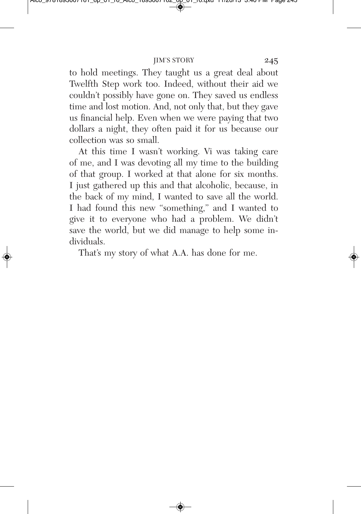to hold meetings. They taught us a great deal about Twelfth Step work too. Indeed, without their aid we couldn't possibly have gone on. They saved us endless time and lost motion. And, not only that, but they gave us financial help. Even when we were paying that two dollars a night, they often paid it for us because our collection was so small.

At this time I wasn't working. Vi was taking care of me, and I was devoting all my time to the building of that group. I worked at that alone for six months. I just gathered up this and that alcoholic, because, in the back of my mind, I wanted to save all the world. I had found this new "something," and I wanted to give it to everyone who had a problem. We didn't save the world, but we did manage to help some individuals.

That's my story of what A.A. has done for me.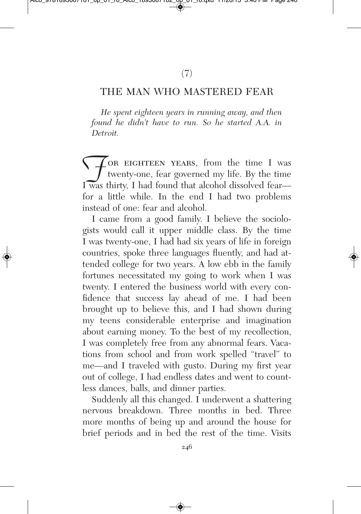## THE MAN WHO MASTERED FEAR

*He spent eighteen years in running away, and then found he didn't have to run. So he started A.A. in Detroit.*

**FOR EIGHTEEN YEARS**, from the time I was the twenty-one, fear governed my life. By the time I was thirty, I had found that alcohol dissolved feartwenty-one, fear governed my life. By the time I was thirty, I had found that alcohol dissolved fear for a little while. In the end I had two problems instead of one: fear and alcohol.

I came from a good family. I believe the sociologists would call it upper middle class. By the time I was twenty-one, I had had six years of life in foreign countries, spoke three languages fluently, and had attended college for two years. A low ebb in the family fortunes necessitated my going to work when I was twenty. I entered the business world with every confidence that success lay ahead of me. I had been brought up to believe this, and I had shown during my teens considerable enterprise and imagination about earning money. To the best of my recollection, I was completely free from any abnormal fears. Vacations from school and from work spelled "travel" to me—and I traveled with gusto. During my first year out of college, I had endless dates and went to countless dances, balls, and dinner parties.

Suddenly all this changed. I underwent a shattering nervous breakdown. Three months in bed. Three more months of being up and around the house for brief periods and in bed the rest of the time. Visits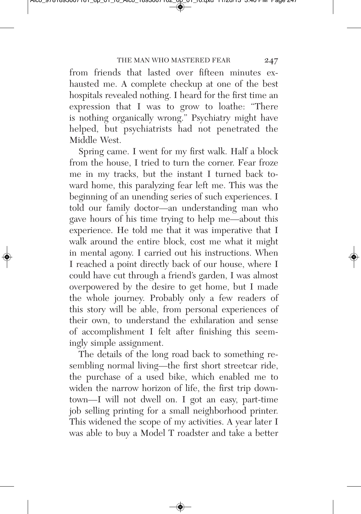from friends that lasted over fifteen minutes exhausted me. A complete checkup at one of the best hospitals revealed nothing. I heard for the first time an expression that I was to grow to loathe: "There is nothing organically wrong." Psychiatry might have helped, but psychiatrists had not penetrated the Middle West.

Spring came. I went for my first walk. Half a block from the house, I tried to turn the corner. Fear froze me in my tracks, but the instant I turned back toward home, this paralyzing fear left me. This was the beginning of an unending series of such experiences. I told our family doctor—an understanding man who gave hours of his time trying to help me—about this experience. He told me that it was imperative that I walk around the entire block, cost me what it might in mental agony. I carried out his instructions. When I reached a point directly back of our house, where I could have cut through a friend's garden, I was almost overpowered by the desire to get home, but I made the whole journey. Probably only a few readers of this story will be able, from personal experiences of their own, to understand the exhilaration and sense of accomplishment I felt after finishing this seemingly simple assignment.

The details of the long road back to something resembling normal living—the first short streetcar ride, the purchase of a used bike, which enabled me to widen the narrow horizon of life, the first trip downtown—I will not dwell on. I got an easy, part-time job selling printing for a small neighborhood printer. This widened the scope of my activities. A year later I was able to buy a Model T roadster and take a better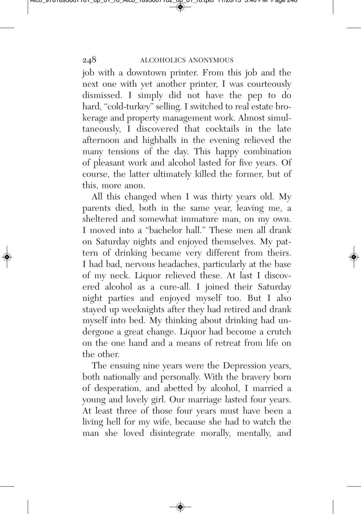job with a downtown printer. From this job and the next one with yet another printer, I was courteously dismissed. I simply did not have the pep to do hard, "cold-turkey" selling. I switched to real estate brokerage and property management work. Almost simultaneously, I discovered that cocktails in the late afternoon and highballs in the evening relieved the many tensions of the day. This happy combination of pleasant work and alcohol lasted for five years. Of course, the latter ultimately killed the former, but of this, more anon.

All this changed when I was thirty years old. My parents died, both in the same year, leaving me, a sheltered and somewhat immature man, on my own. I moved into a "bachelor hall." These men all drank on Saturday nights and enjoyed themselves. My pattern of drinking became very different from theirs. I had bad, nervous headaches, particularly at the base of my neck. Liquor relieved these. At last I discovered alcohol as a cure-all. I joined their Saturday night parties and enjoyed myself too. But I also stayed up weeknights after they had retired and drank myself into bed. My thinking about drinking had undergone a great change. Liquor had become a crutch on the one hand and a means of retreat from life on the other.

The ensuing nine years were the Depression years, both nationally and personally. With the bravery born of desperation, and abetted by alcohol, I married a young and lovely girl. Our marriage lasted four years. At least three of those four years must have been a living hell for my wife, because she had to watch the man she loved disintegrate morally, mentally, and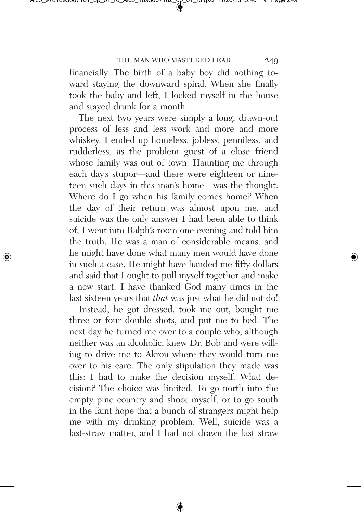financially. The birth of a baby boy did nothing toward staying the downward spiral. When she finally took the baby and left, I locked myself in the house and stayed drunk for a month.

The next two years were simply a long, drawn-out process of less and less work and more and more whiskey. I ended up homeless, jobless, penniless, and rudderless, as the problem guest of a close friend whose family was out of town. Haunting me through each day's stupor—and there were eighteen or nineteen such days in this man's home—was the thought: Where do I go when his family comes home? When the day of their return was almost upon me, and suicide was the only answer I had been able to think of, I went into Ralph's room one evening and told him the truth. He was a man of considerable means, and he might have done what many men would have done in such a case. He might have handed me fifty dollars and said that I ought to pull myself together and make a new start. I have thanked God many times in the last sixteen years that *that* was just what he did not do!

Instead, he got dressed, took me out, bought me three or four double shots, and put me to bed. The next day he turned me over to a couple who, although neither was an alcoholic, knew Dr. Bob and were willing to drive me to Akron where they would turn me over to his care. The only stipulation they made was this: I had to make the decision myself. What decision? The choice was limited. To go north into the empty pine country and shoot myself, or to go south in the faint hope that a bunch of strangers might help me with my drinking problem. Well, suicide was a last-straw matter, and I had not drawn the last straw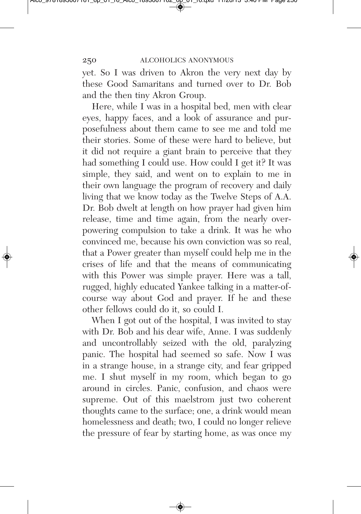yet. So I was driven to Akron the very next day by these Good Samaritans and turned over to Dr. Bob and the then tiny Akron Group.

Here, while I was in a hospital bed, men with clear eyes, happy faces, and a look of assurance and purposefulness about them came to see me and told me their stories. Some of these were hard to believe, but it did not require a giant brain to perceive that they had something I could use. How could I get it? It was simple, they said, and went on to explain to me in their own language the program of recovery and daily living that we know today as the Twelve Steps of A.A. Dr. Bob dwelt at length on how prayer had given him release, time and time again, from the nearly overpowering compulsion to take a drink. It was he who convinced me, because his own conviction was so real, that a Power greater than myself could help me in the crises of life and that the means of communicating with this Power was simple prayer. Here was a tall, rugged, highly educated Yankee talking in a matter-ofcourse way about God and prayer. If he and these other fellows could do it, so could I.

When I got out of the hospital, I was invited to stay with Dr. Bob and his dear wife, Anne. I was suddenly and uncontrollably seized with the old, paralyzing panic. The hospital had seemed so safe. Now I was in a strange house, in a strange city, and fear gripped me. I shut myself in my room, which began to go around in circles. Panic, confusion, and chaos were supreme. Out of this maelstrom just two coherent thoughts came to the surface; one, a drink would mean homelessness and death; two, I could no longer relieve the pressure of fear by starting home, as was once my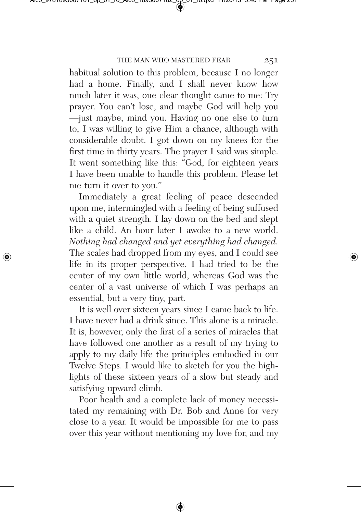habitual solution to this problem, because I no longer had a home. Finally, and I shall never know how much later it was, one clear thought came to me: Try prayer. You can't lose, and maybe God will help you —just maybe, mind you. Having no one else to turn to, I was willing to give Him a chance, although with considerable doubt. I got down on my knees for the first time in thirty years. The prayer I said was simple. It went something like this: "God, for eighteen years I have been unable to handle this problem. Please let me turn it over to you."

Immediately a great feeling of peace descended upon me, intermingled with a feeling of being suffused with a quiet strength. I lay down on the bed and slept like a child. An hour later I awoke to a new world. *Nothing had changed and yet everything had changed.* The scales had dropped from my eyes, and I could see life in its proper perspective. I had tried to be the center of my own little world, whereas God was the center of a vast universe of which I was perhaps an essential, but a very tiny, part.

It is well over sixteen years since I came back to life. I have never had a drink since. This alone is a miracle. It is, however, only the first of a series of miracles that have followed one another as a result of my trying to apply to my daily life the principles embodied in our Twelve Steps. I would like to sketch for you the highlights of these sixteen years of a slow but steady and satisfying upward climb.

Poor health and a complete lack of money necessitated my remaining with Dr. Bob and Anne for very close to a year. It would be impossible for me to pass over this year without mentioning my love for, and my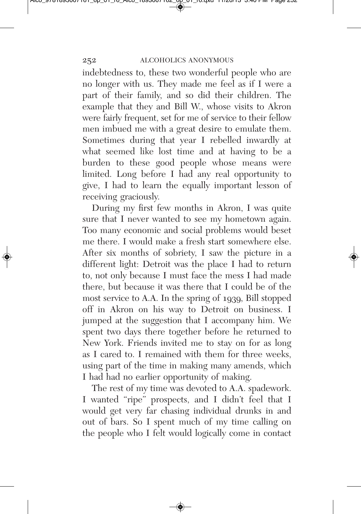indebtedness to, these two wonderful people who are no longer with us. They made me feel as if I were a part of their family, and so did their children. The example that they and Bill W., whose visits to Akron were fairly frequent, set for me of service to their fellow men imbued me with a great desire to emulate them. Sometimes during that year I rebelled inwardly at what seemed like lost time and at having to be a burden to these good people whose means were limited. Long before I had any real opportunity to give, I had to learn the equally important lesson of receiving graciously.

During my first few months in Akron, I was quite sure that I never wanted to see my hometown again. Too many economic and social problems would beset me there. I would make a fresh start somewhere else. After six months of sobriety, I saw the picture in a different light: Detroit was the place I had to return to, not only because I must face the mess I had made there, but because it was there that I could be of the most service to A.A. In the spring of 1939, Bill stopped off in Akron on his way to Detroit on business. I jumped at the suggestion that I accompany him. We spent two days there together before he returned to New York. Friends invited me to stay on for as long as I cared to. I remained with them for three weeks, using part of the time in making many amends, which I had had no earlier opportunity of making.

The rest of my time was devoted to A.A. spadework. I wanted "ripe" prospects, and I didn't feel that I would get very far chasing individual drunks in and out of bars. So I spent much of my time calling on the people who I felt would logically come in contact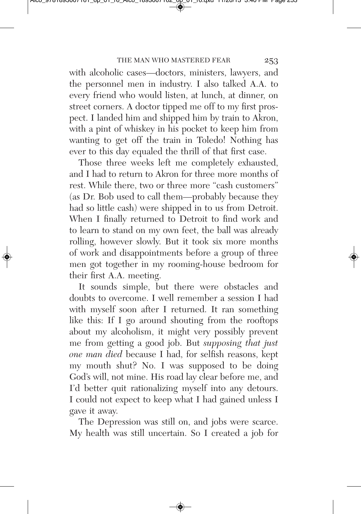with alcoholic cases—doctors, ministers, lawyers, and the personnel men in industry. I also talked A.A. to every friend who would listen, at lunch, at dinner, on street corners. A doctor tipped me off to my first prospect. I landed him and shipped him by train to Akron, with a pint of whiskey in his pocket to keep him from wanting to get off the train in Toledo! Nothing has ever to this day equaled the thrill of that first case.

Those three weeks left me completely exhausted, and I had to return to Akron for three more months of rest. While there, two or three more "cash customers" (as Dr. Bob used to call them—probably because they had so little cash) were shipped in to us from Detroit. When I finally returned to Detroit to find work and to learn to stand on my own feet, the ball was already rolling, however slowly. But it took six more months of work and disappointments before a group of three men got together in my rooming-house bedroom for their first A.A. meeting.

It sounds simple, but there were obstacles and doubts to overcome. I well remember a session I had with myself soon after I returned. It ran something like this: If I go around shouting from the rooftops about my alcoholism, it might very possibly prevent me from getting a good job. But *supposing that just one man died* because I had, for selfish reasons, kept my mouth shut? No. I was supposed to be doing God's will, not mine. His road lay clear before me, and I'd better quit rationalizing myself into any detours. I could not expect to keep what I had gained unless I gave it away.

The Depression was still on, and jobs were scarce. My health was still uncertain. So I created a job for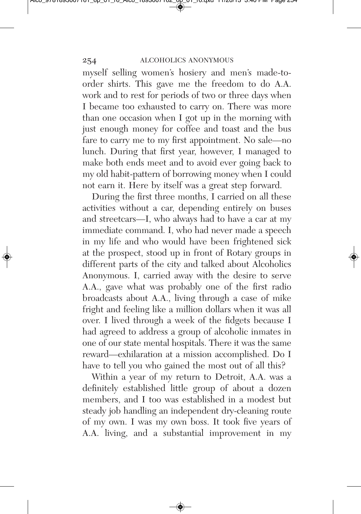myself selling women's hosiery and men's made-toorder shirts. This gave me the freedom to do A.A. work and to rest for periods of two or three days when I became too exhausted to carry on. There was more than one occasion when I got up in the morning with just enough money for coffee and toast and the bus fare to carry me to my first appointment. No sale—no lunch. During that first year, however, I managed to make both ends meet and to avoid ever going back to my old habit-pattern of borrowing money when I could not earn it. Here by itself was a great step forward.

During the first three months, I carried on all these activities without a car, depending entirely on buses and streetcars—I, who always had to have a car at my immediate command. I, who had never made a speech in my life and who would have been frightened sick at the prospect, stood up in front of Rotary groups in different parts of the city and talked about Alcoholics Anonymous. I, carried away with the desire to serve A.A., gave what was probably one of the first radio broadcasts about A.A., living through a case of mike fright and feeling like a million dollars when it was all over. I lived through a week of the fidgets because I had agreed to address a group of alcoholic inmates in one of our state mental hospitals. There it was the same reward—exhilaration at a mission accomplished. Do I have to tell you who gained the most out of all this?

Within a year of my return to Detroit, A.A. was a definitely established little group of about a dozen members, and I too was established in a modest but steady job handling an independent dry-cleaning route of my own. I was my own boss. It took five years of A.A. living, and a substantial improvement in my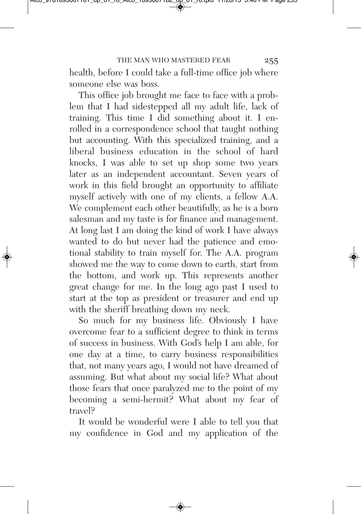health, before I could take a full-time office job where someone else was boss.

This office job brought me face to face with a problem that I had sidestepped all my adult life, lack of training. This time I did something about it. I enrolled in a correspondence school that taught nothing but accounting. With this specialized training, and a liberal business education in the school of hard knocks, I was able to set up shop some two years later as an independent accountant. Seven years of work in this field brought an opportunity to affiliate myself actively with one of my clients, a fellow A.A. We complement each other beautifully, as he is a born salesman and my taste is for finance and management. At long last I am doing the kind of work I have always wanted to do but never had the patience and emotional stability to train myself for. The A.A. program showed me the way to come down to earth, start from the bottom, and work up. This represents another great change for me. In the long ago past I used to start at the top as president or treasurer and end up with the sheriff breathing down my neck.

So much for my business life. Obviously I have overcome fear to a sufficient degree to think in terms of success in business. With God's help I am able, for one day at a time, to carry business responsibilities that, not many years ago, I would not have dreamed of assuming. But what about my social life? What about those fears that once paralyzed me to the point of my becoming a semi-hermit? What about my fear of travel?

It would be wonderful were I able to tell you that my confidence in God and my application of the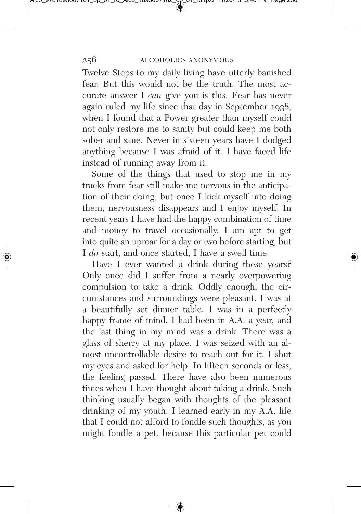Twelve Steps to my daily living have utterly banished fear. But this would not be the truth. The most ac curate answer I *can* give you is this: Fear has never again ruled my life since that day in September 1938, when I found that a Power greater than myself could not only restore me to sanity but could keep me both sober and sane. Never in sixteen years have I dodged anything because I was afraid of it. I have faced life instead of running away from it.

Some of the things that used to stop me in my tracks from fear still make me nervous in the anticipation of their doing, but once I kick myself into doing them, nervousness disappears and I enjoy myself. In recent years I have had the happy combination of time and money to travel occasionally. I am apt to get into quite an uproar for a day or two before starting, but I *do* start, and once started, I have a swell time.

Have I ever wanted a drink during these years? Only once did I suffer from a nearly overpowering compulsion to take a drink. Oddly enough, the circumstances and surroundings were pleasant. I was at a beautifully set dinner table. I was in a perfectly happy frame of mind. I had been in A.A. a year, and the last thing in my mind was a drink. There was a glass of sherry at my place. I was seized with an almost uncontrollable desire to reach out for it. I shut my eyes and asked for help. In fifteen seconds or less, the feeling passed. There have also been numerous times when I have thought about taking a drink. Such thinking usually began with thoughts of the pleasant drinking of my youth. I learned early in my A.A. life that I could not afford to fondle such thoughts, as you might fondle a pet, because this particular pet could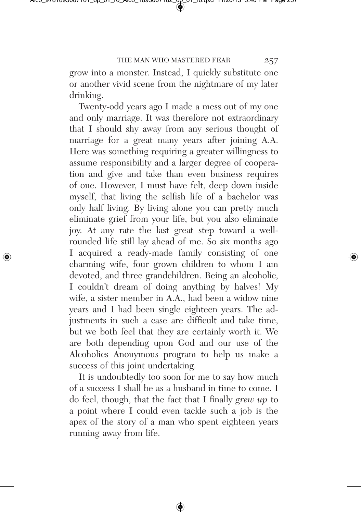grow into a monster. Instead, I quickly substitute one or another vivid scene from the nightmare of my later drinking.

Twenty-odd years ago I made a mess out of my one and only marriage. It was therefore not extraordinary that I should shy away from any serious thought of marriage for a great many years after joining A.A. Here was something requiring a greater willingness to assume responsibility and a larger degree of cooperation and give and take than even business requires of one. However, I must have felt, deep down inside myself, that living the selfish life of a bachelor was only half living. By living alone you can pretty much eliminate grief from your life, but you also eliminate joy. At any rate the last great step toward a wellrounded life still lay ahead of me. So six months ago I acquired a ready-made family consisting of one charming wife, four grown children to whom I am devoted, and three grandchildren. Being an alcoholic, I couldn't dream of doing anything by halves! My wife, a sister member in A.A., had been a widow nine years and I had been single eighteen years. The adjustments in such a case are difficult and take time, but we both feel that they are certainly worth it. We are both depending upon God and our use of the Alcoholics Anonymous program to help us make a success of this joint undertaking.

It is undoubtedly too soon for me to say how much of a success I shall be as a husband in time to come. I do feel, though, that the fact that I finally *grew up* to a point where I could even tackle such a job is the apex of the story of a man who spent eighteen years running away from life.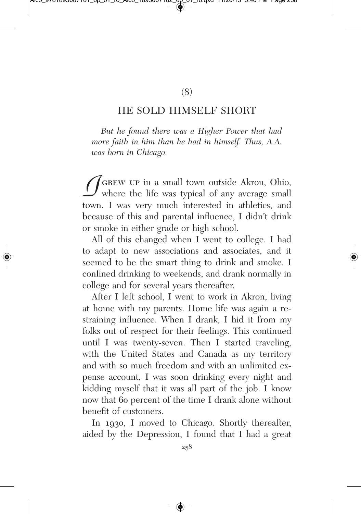## HE SOLD HIMSELF SHORT

*But he found there was a Higher Power that had more faith in him than he had in himself. Thus, A.A. was born in Chicago.*

*I* GREW UP in a small town outside Akron, Ohio, where the life was typical of any average small town. I was very much interested in athletics, and because of this and parental influence, I didn't drink or smoke in either grade or high school.

All of this changed when I went to college. I had to adapt to new associations and associates, and it seemed to be the smart thing to drink and smoke. I confined drinking to weekends, and drank normally in college and for several years thereafter.

After I left school, I went to work in Akron, living at home with my parents. Home life was again a restraining influence. When I drank, I hid it from my folks out of respect for their feelings. This continued until I was twenty-seven. Then I started traveling, with the United States and Canada as my territory and with so much freedom and with an unlimited expense account, I was soon drinking every night and kidding myself that it was all part of the job. I know now that 60 percent of the time I drank alone without benefit of customers.

In 1930, I moved to Chicago. Shortly thereafter, aided by the Depression, I found that I had a great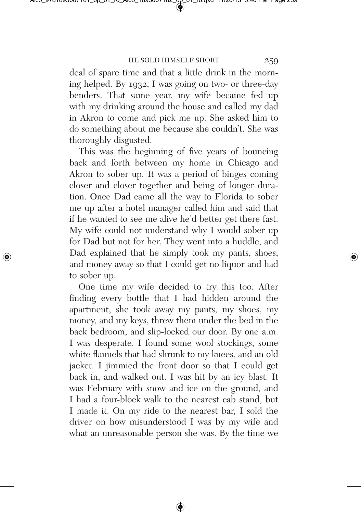deal of spare time and that a little drink in the morning helped. By 1932, I was going on two- or three-day benders. That same year, my wife became fed up with my drinking around the house and called my dad in Akron to come and pick me up. She asked him to do something about me because she couldn't. She was thoroughly disgusted.

This was the beginning of five years of bouncing back and forth between my home in Chicago and Akron to sober up. It was a period of binges coming closer and closer together and being of longer duration. Once Dad came all the way to Florida to sober me up after a hotel manager called him and said that if he wanted to see me alive he'd better get there fast. My wife could not understand why I would sober up for Dad but not for her. They went into a huddle, and Dad explained that he simply took my pants, shoes, and money away so that I could get no liquor and had to sober up.

One time my wife decided to try this too. After finding every bottle that I had hidden around the apartment, she took away my pants, my shoes, my money, and my keys, threw them under the bed in the back bedroom, and slip-locked our door. By one a.m. I was desperate. I found some wool stockings, some white flannels that had shrunk to my knees, and an old jacket. I jimmied the front door so that I could get back in, and walked out. I was hit by an icy blast. It was February with snow and ice on the ground, and I had a four-block walk to the nearest cab stand, but I made it. On my ride to the nearest bar, I sold the driver on how misunderstood I was by my wife and what an unreasonable person she was. By the time we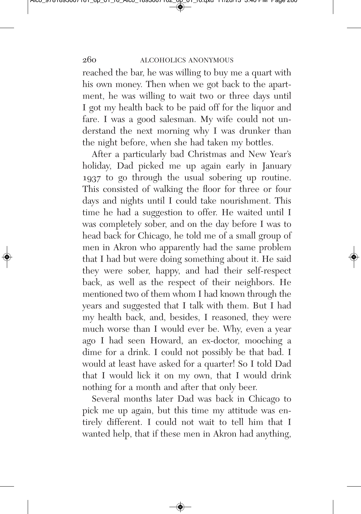reached the bar, he was willing to buy me a quart with his own money. Then when we got back to the apartment, he was willing to wait two or three days until I got my health back to be paid off for the liquor and fare. I was a good salesman. My wife could not understand the next morning why I was drunker than the night before, when she had taken my bottles.

After a particularly bad Christmas and New Year's holiday, Dad picked me up again early in January 1937 to go through the usual sobering up routine. This consisted of walking the floor for three or four days and nights until I could take nourishment. This time he had a suggestion to offer. He waited until I was completely sober, and on the day before I was to head back for Chicago, he told me of a small group of men in Akron who apparently had the same problem that I had but were doing something about it. He said they were sober, happy, and had their self-respect back, as well as the respect of their neighbors. He mentioned two of them whom I had known through the years and suggested that I talk with them. But I had my health back, and, besides, I reasoned, they were much worse than I would ever be. Why, even a year ago I had seen Howard, an ex-doctor, mooching a dime for a drink. I could not possibly be that bad. I would at least have asked for a quarter! So I told Dad that I would lick it on my own, that I would drink nothing for a month and after that only beer.

Several months later Dad was back in Chicago to pick me up again, but this time my attitude was entirely different. I could not wait to tell him that I wanted help, that if these men in Akron had anything,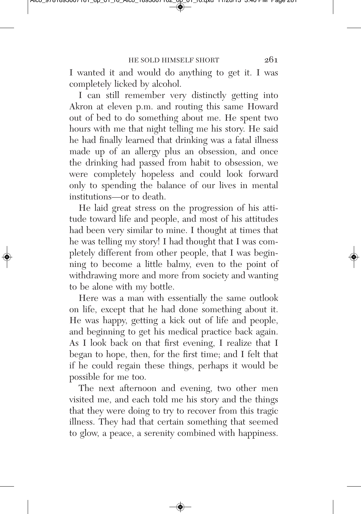I wanted it and would do anything to get it. I was completely licked by alcohol.

I can still remember very distinctly getting into Akron at eleven p.m. and routing this same Howard out of bed to do something about me. He spent two hours with me that night telling me his story. He said he had finally learned that drinking was a fatal illness made up of an allergy plus an obsession, and once the drinking had passed from habit to obsession, we were completely hopeless and could look forward only to spending the balance of our lives in mental institutions—or to death.

He laid great stress on the progression of his attitude toward life and people, and most of his attitudes had been very similar to mine. I thought at times that he was telling my story! I had thought that I was completely different from other people, that I was beginning to become a little balmy, even to the point of withdrawing more and more from society and wanting to be alone with my bottle.

Here was a man with essentially the same outlook on life, except that he had done something about it. He was happy, getting a kick out of life and people, and beginning to get his medical practice back again. As I look back on that first evening, I realize that I began to hope, then, for the first time; and I felt that if he could regain these things, perhaps it would be possible for me too.

The next afternoon and evening, two other men visited me, and each told me his story and the things that they were doing to try to recover from this tragic illness. They had that certain something that seemed to glow, a peace, a serenity combined with happiness.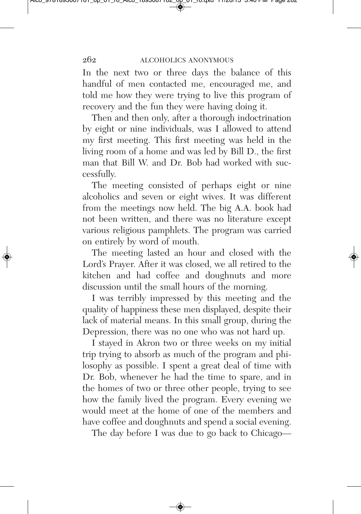In the next two or three days the balance of this handful of men contacted me, encouraged me, and told me how they were trying to live this program of recovery and the fun they were having doing it.

Then and then only, after a thorough indoctrination by eight or nine individuals, was I allowed to attend my first meeting. This first meeting was held in the living room of a home and was led by Bill D., the first man that Bill W. and Dr. Bob had worked with successfully.

The meeting consisted of perhaps eight or nine alcoholics and seven or eight wives. It was different from the meetings now held. The big A.A. book had not been written, and there was no literature except various religious pamphlets. The program was carried on entirely by word of mouth.

The meeting lasted an hour and closed with the Lord's Prayer. After it was closed, we all retired to the kitchen and had coffee and doughnuts and more discussion until the small hours of the morning.

I was terribly impressed by this meeting and the quality of happiness these men displayed, despite their lack of material means. In this small group, during the Depression, there was no one who was not hard up.

I stayed in Akron two or three weeks on my initial trip trying to absorb as much of the program and philosophy as possible. I spent a great deal of time with Dr. Bob, whenever he had the time to spare, and in the homes of two or three other people, trying to see how the family lived the program. Every evening we would meet at the home of one of the members and have coffee and doughnuts and spend a social evening.

The day before I was due to go back to Chicago—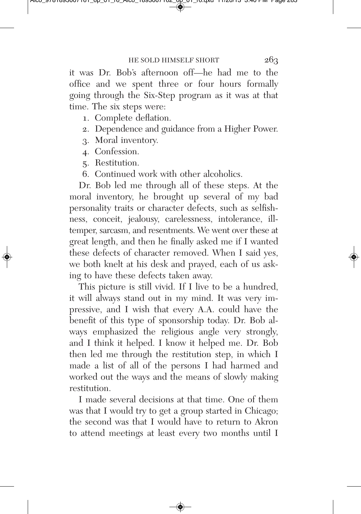it was Dr. Bob's afternoon off—he had me to the office and we spent three or four hours formally going through the Six-Step program as it was at that time. The six steps were:

- 1. Complete deflation.
- 2. Dependence and guidance from a Higher Power.
- 3. Moral inventory.
- 4. Confession.
- 5. Restitution.
- 6. Continued work with other alcoholics.

Dr. Bob led me through all of these steps. At the moral inventory, he brought up several of my bad personality traits or character defects, such as selfishness, conceit, jealousy, carelessness, intolerance, illtemper, sarcasm, and resentments. We went over these at great length, and then he finally asked me if I wanted these defects of character removed. When I said yes, we both knelt at his desk and prayed, each of us asking to have these defects taken away.

This picture is still vivid. If I live to be a hundred, it will always stand out in my mind. It was very impressive, and I wish that every A.A. could have the benefit of this type of sponsorship today. Dr. Bob always emphasized the religious angle very strongly, and I think it helped. I know it helped me. Dr. Bob then led me through the restitution step, in which I made a list of all of the persons I had harmed and worked out the ways and the means of slowly making restitution.

I made several decisions at that time. One of them was that I would try to get a group started in Chicago; the second was that I would have to return to Akron to attend meetings at least every two months until I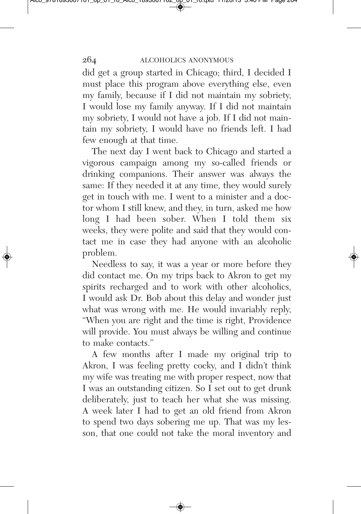did get a group started in Chicago; third, I decided I must place this program above everything else, even my family, because if I did not maintain my sobriety, I would lose my family anyway. If I did not maintain my sobriety, I would not have a job. If I did not maintain my sobriety, I would have no friends left. I had few enough at that time.

The next day I went back to Chicago and started a vigorous campaign among my so-called friends or drinking companions. Their answer was always the same: If they needed it at any time, they would surely get in touch with me. I went to a minister and a doctor whom I still knew, and they, in turn, asked me how long I had been sober. When I told them six weeks, they were polite and said that they would contact me in case they had anyone with an alcoholic problem.

Needless to say, it was a year or more before they did contact me. On my trips back to Akron to get my spirits recharged and to work with other alcoholics, I would ask Dr. Bob about this delay and wonder just what was wrong with me. He would invariably reply, "When you are right and the time is right, Providence will provide. You must always be willing and continue to make contacts."

A few months after I made my original trip to Akron, I was feeling pretty cocky, and I didn't think my wife was treating me with proper respect, now that I was an outstanding citizen. So I set out to get drunk deliberately, just to teach her what she was missing. A week later I had to get an old friend from Akron to spend two days sobering me up. That was my lesson, that one could not take the moral inventory and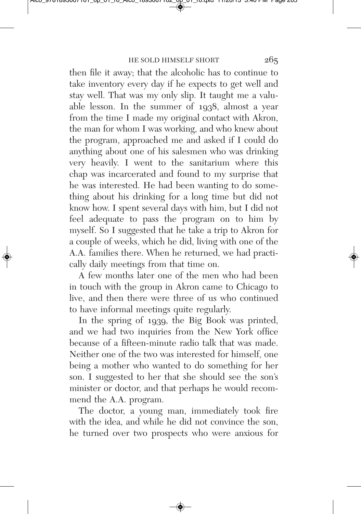then file it away; that the alcoholic has to continue to take inventory every day if he expects to get well and stay well. That was my only slip. It taught me a valuable lesson. In the summer of 1938, almost a year from the time I made my original contact with Akron, the man for whom I was working, and who knew about the program, approached me and asked if I could do anything about one of his salesmen who was drinking very heavily. I went to the sanitarium where this chap was incarcerated and found to my surprise that he was interested. He had been wanting to do something about his drinking for a long time but did not know how. I spent several days with him, but I did not feel adequate to pass the program on to him by myself. So I suggested that he take a trip to Akron for a couple of weeks, which he did, living with one of the A.A. families there. When he returned, we had practically daily meetings from that time on.

A few months later one of the men who had been in touch with the group in Akron came to Chicago to live, and then there were three of us who continued to have informal meetings quite regularly.

In the spring of 1939, the Big Book was printed, and we had two inquiries from the New York office because of a fifteen-minute radio talk that was made. Neither one of the two was interested for himself, one being a mother who wanted to do something for her son. I suggested to her that she should see the son's minister or doctor, and that perhaps he would recommend the A.A. program.

The doctor, a young man, immediately took fire with the idea, and while he did not convince the son, he turned over two prospects who were anxious for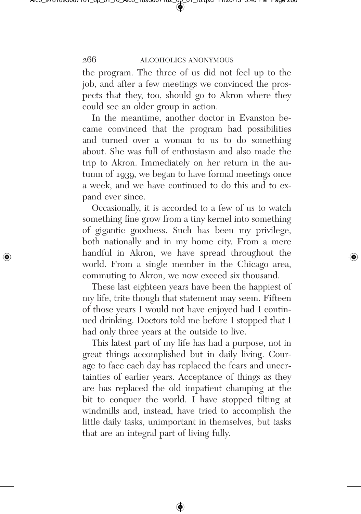the program. The three of us did not feel up to the job, and after a few meetings we convinced the prospects that they, too, should go to Akron where they could see an older group in action.

In the meantime, another doctor in Evanston became convinced that the program had possibilities and turned over a woman to us to do something about. She was full of enthusiasm and also made the trip to Akron. Immediately on her return in the autumn of 1939, we began to have formal meetings once a week, and we have continued to do this and to expand ever since.

Occasionally, it is accorded to a few of us to watch something fine grow from a tiny kernel into something of gigantic goodness. Such has been my privilege, both nationally and in my home city. From a mere handful in Akron, we have spread throughout the world. From a single member in the Chicago area, commuting to Akron, we now exceed six thousand.

These last eighteen years have been the happiest of my life, trite though that statement may seem. Fifteen of those years I would not have enjoyed had I continued drinking. Doctors told me before I stopped that I had only three years at the outside to live.

This latest part of my life has had a purpose, not in great things accomplished but in daily living. Cour age to face each day has replaced the fears and uncertainties of earlier years. Acceptance of things as they are has replaced the old impatient champing at the bit to conquer the world. I have stopped tilting at windmills and, instead, have tried to accomplish the little daily tasks, unimportant in themselves, but tasks that are an integral part of living fully.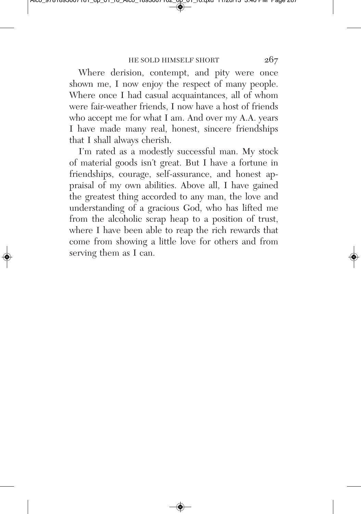Where derision, contempt, and pity were once shown me, I now enjoy the respect of many people. Where once I had casual acquaintances, all of whom were fair-weather friends, I now have a host of friends who accept me for what I am. And over my A.A. years I have made many real, honest, sincere friendships that I shall always cherish.

I'm rated as a modestly successful man. My stock of material goods isn't great. But I have a fortune in friendships, courage, self-assurance, and honest appraisal of my own abilities. Above all, I have gained the greatest thing accorded to any man, the love and understanding of a gracious God, who has lifted me from the alcoholic scrap heap to a position of trust, where I have been able to reap the rich rewards that come from showing a little love for others and from serving them as I can.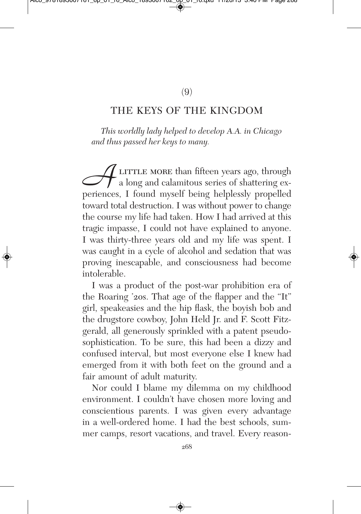## THE KEYS OF THE KINGDOM

*This worldly lady helped to develop A.A. in Chicago and thus passed her keys to many.*

*A*LITTLE MORE than fifteen years ago, through a long and calamitous series of shattering experiences, I found myself being helplessly propelled a long and calamitous series of shattering experiences, I found myself being helplessly propelled toward total destruction. I was without power to change the course my life had taken. How I had arrived at this tragic impasse, I could not have explained to anyone. I was thirty-three years old and my life was spent. I was caught in a cycle of alcohol and sedation that was proving inescapable, and consciousness had become intolerable.

I was a product of the post-war prohibition era of the Roaring '20s. That age of the flapper and the "It" girl, speakeasies and the hip flask, the boyish bob and the drugstore cowboy, John Held Jr. and F. Scott Fitz gerald, all generously sprinkled with a patent pseudosophistication. To be sure, this had been a dizzy and confused interval, but most everyone else I knew had emerged from it with both feet on the ground and a fair amount of adult maturity.

Nor could I blame my dilemma on my childhood environment. I couldn't have chosen more loving and conscientious parents. I was given every advantage in a well-ordered home. I had the best schools, summer camps, resort vacations, and travel. Every reason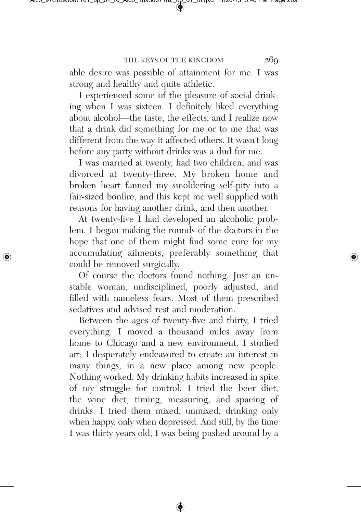able desire was possible of attainment for me. I was strong and healthy and quite athletic.

I experienced some of the pleasure of social drinking when I was sixteen. I definitely liked everything about alcohol—the taste, the effects; and I realize now that a drink did something for me or to me that was different from the way it affected others. It wasn't long before any party without drinks was a dud for me.

I was married at twenty, had two children, and was divorced at twenty-three. My broken home and broken heart fanned my smoldering self-pity into a fair-sized bonfire, and this kept me well supplied with reasons for having another drink, and then another.

At twenty-five I had developed an alcoholic problem. I began making the rounds of the doctors in the hope that one of them might find some cure for my accumulating ailments, preferably something that could be removed surgically.

Of course the doctors found nothing. Just an unstable woman, undisciplined, poorly adjusted, and filled with nameless fears. Most of them prescribed sedatives and advised rest and moderation.

Between the ages of twenty-five and thirty, I tried everything. I moved a thousand miles away from home to Chicago and a new environment. I studied art; I desperately endeavored to create an interest in many things, in a new place among new people. Nothing worked. My drinking habits increased in spite of my struggle for control. I tried the beer diet, the wine diet, timing, measuring, and spacing of drinks. I tried them mixed, unmixed, drinking only when happy, only when depressed. And still, by the time I was thirty years old, I was being pushed around by a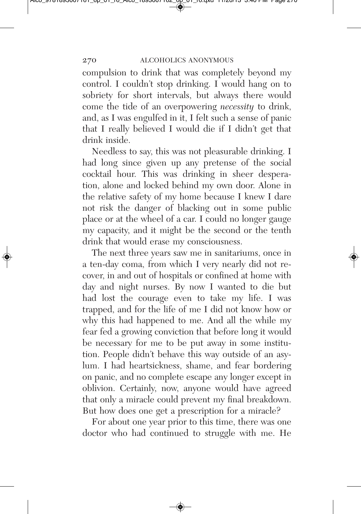compulsion to drink that was completely beyond my control. I couldn't stop drinking. I would hang on to sobriety for short intervals, but always there would come the tide of an overpowering *necessity* to drink, and, as I was engulfed in it, I felt such a sense of panic that I really believed I would die if I didn't get that drink inside.

Needless to say, this was not pleasurable drinking. I had long since given up any pretense of the social cocktail hour. This was drinking in sheer despera tion, alone and locked behind my own door. Alone in the relative safety of my home because I knew I dare not risk the danger of blacking out in some public place or at the wheel of a car. I could no longer gauge my capacity, and it might be the second or the tenth drink that would erase my consciousness.

The next three years saw me in sanitariums, once in a ten-day coma, from which I very nearly did not recover, in and out of hospitals or confined at home with day and night nurses. By now I wanted to die but had lost the courage even to take my life. I was trapped, and for the life of me I did not know how or why this had happened to me. And all the while my fear fed a growing conviction that before long it would be necessary for me to be put away in some institution. People didn't behave this way outside of an asylum. I had heartsickness, shame, and fear bordering on panic, and no complete escape any longer except in oblivion. Certainly, now, anyone would have agreed that only a miracle could prevent my final breakdown. But how does one get a prescription for a miracle?

For about one year prior to this time, there was one doctor who had continued to struggle with me. He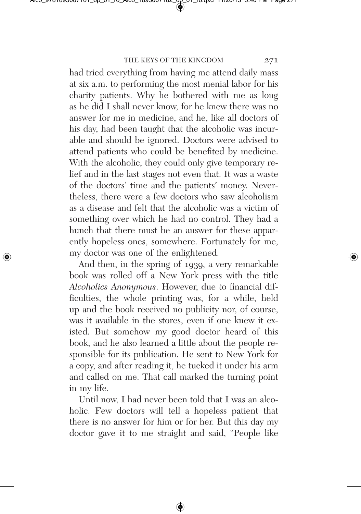had tried everything from having me attend daily mass at six a.m. to performing the most menial labor for his charity patients. Why he bothered with me as long as he did I shall never know, for he knew there was no answer for me in medicine, and he, like all doctors of his day, had been taught that the alcoholic was incurable and should be ignored. Doctors were advised to attend patients who could be benefited by medicine. With the alcoholic, they could only give temporary relief and in the last stages not even that. It was a waste of the doctors' time and the patients' money. Never theless, there were a few doctors who saw alcoholism as a disease and felt that the alcoholic was a victim of something over which he had no control. They had a hunch that there must be an answer for these apparently hopeless ones, somewhere. Fortunately for me, my doctor was one of the enlightened.

And then, in the spring of 1939, a very remarkable book was rolled off a New York press with the title *Alcoholics Anonymous*. However, due to financial difficulties, the whole printing was, for a while, held up and the book received no publicity nor, of course, was it available in the stores, even if one knew it existed. But somehow my good doctor heard of this book, and he also learned a little about the people responsible for its publication. He sent to New York for a copy, and after reading it, he tucked it under his arm and called on me. That call marked the turning point in my life.

Until now, I had never been told that I was an alcoholic. Few doctors will tell a hopeless patient that there is no answer for him or for her. But this day my doctor gave it to me straight and said, "People like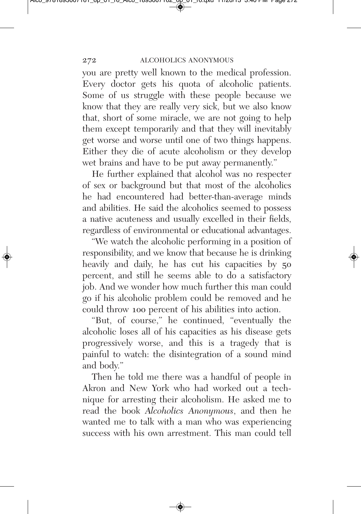you are pretty well known to the medical profession. Every doctor gets his quota of alcoholic patients. Some of us struggle with these people because we know that they are really very sick, but we also know that, short of some miracle, we are not going to help them except temporarily and that they will inevitably get worse and worse until one of two things happens. Either they die of acute alcoholism or they develop wet brains and have to be put away permanently."

He further explained that alcohol was no respecter of sex or background but that most of the alcoholics he had encountered had better-than-average minds and abilities. He said the alcoholics seemed to possess a native acuteness and usually excelled in their fields, regardless of environmental or educational advantages.

"We watch the alcoholic performing in a position of responsibility, and we know that because he is drinking heavily and daily, he has cut his capacities by 50 percent, and still he seems able to do a satisfactory job. And we wonder how much further this man could go if his alcoholic problem could be removed and he could throw 100 percent of his abilities into action.

"But, of course," he continued, "eventually the alcoholic loses all of his capacities as his disease gets progressively worse, and this is a tragedy that is painful to watch: the disintegration of a sound mind and body."

Then he told me there was a handful of people in Akron and New York who had worked out a technique for arresting their alcoholism. He asked me to read the book *Alcoholics Anonymous*, and then he wanted me to talk with a man who was experiencing success with his own arrestment. This man could tell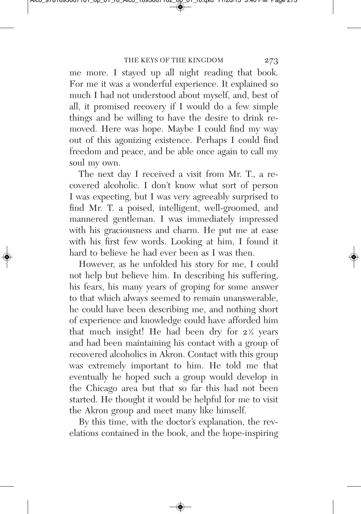me more. I stayed up all night reading that book. For me it was a wonderful experience. It explained so much I had not understood about myself, and, best of all, it promised recovery if I would do a few simple things and be willing to have the desire to drink removed. Here was hope. Maybe I could find my way out of this agonizing existence. Perhaps I could find freedom and peace, and be able once again to call my soul my own.

The next day I received a visit from Mr. T., a recovered alcoholic. I don't know what sort of person I was expecting, but I was very agreeably surprised to find Mr. T. a poised, intelligent, well-groomed, and mannered gentleman. I was immediately impressed with his graciousness and charm. He put me at ease with his first few words. Looking at him, I found it hard to believe he had ever been as I was then.

However, as he unfolded his story for me, I could not help but believe him. In describing his suffering, his fears, his many years of groping for some answer to that which always seemed to remain unanswerable, he could have been describing me, and nothing short of experience and knowledge could have afforded him that much insight! He had been dry for 2<sup>1/2</sup> years and had been maintaining his contact with a group of recovered alcoholics in Akron. Contact with this group was extremely important to him. He told me that eventually he hoped such a group would develop in the Chicago area but that so far this had not been started. He thought it would be helpful for me to visit the Akron group and meet many like himself.

By this time, with the doctor's explanation, the revelations contained in the book, and the hope-inspiring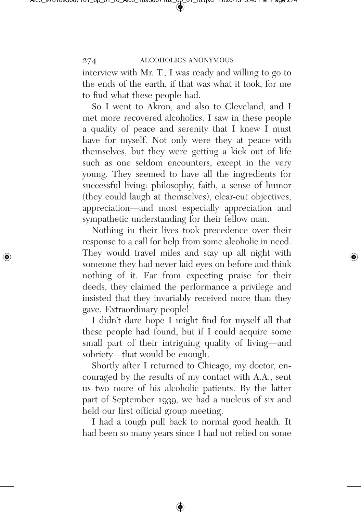interview with Mr. T., I was ready and willing to go to the ends of the earth, if that was what it took, for me to find what these people had.

So I went to Akron, and also to Cleveland, and I met more recovered alcoholics. I saw in these people a quality of peace and serenity that I knew I must have for myself. Not only were they at peace with themselves, but they were getting a kick out of life such as one seldom encounters, except in the very young. They seemed to have all the ingredients for successful living: philosophy, faith, a sense of humor (they could laugh at themselves), clear-cut objectives, appreciation—and most especially appreciation and sympathetic understanding for their fellow man.

Nothing in their lives took precedence over their response to a call for help from some alcoholic in need. They would travel miles and stay up all night with someone they had never laid eyes on before and think nothing of it. Far from expecting praise for their deeds, they claimed the performance a privilege and insisted that they invariably received more than they gave. Extraordinary people!

I didn't dare hope I might find for myself all that these people had found, but if I could acquire some small part of their intriguing quality of living—and sobriety—that would be enough.

Shortly after I returned to Chicago, my doctor, encouraged by the results of my contact with A.A., sent us two more of his alcoholic patients. By the latter part of September 1939, we had a nucleus of six and held our first official group meeting.

I had a tough pull back to normal good health. It had been so many years since I had not relied on some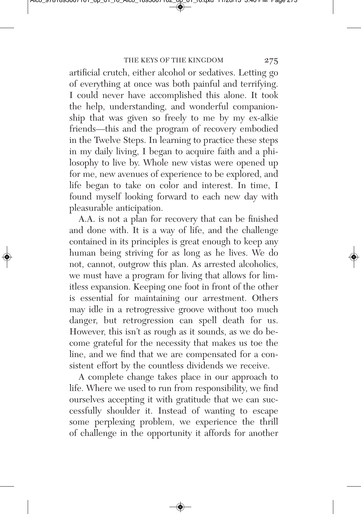artificial crutch, either alcohol or sedatives. Letting go of everything at once was both painful and terrifying. I could never have accomplished this alone. It took the help, understanding, and wonderful companionship that was given so freely to me by my ex-alkie friends—this and the program of recovery embodied in the Twelve Steps. In learning to practice these steps in my daily living, I began to acquire faith and a philosophy to live by. Whole new vistas were opened up for me, new avenues of experience to be explored, and life began to take on color and interest. In time, I found myself looking forward to each new day with pleasurable anticipation.

A.A. is not a plan for recovery that can be finished and done with. It is a way of life, and the challenge contained in its principles is great enough to keep any human being striving for as long as he lives. We do not, cannot, outgrow this plan. As arrested alcoholics, we must have a program for living that allows for limitless expansion. Keeping one foot in front of the other is essential for maintaining our arrestment. Others may idle in a retrogressive groove without too much danger, but retrogression can spell death for us. However, this isn't as rough as it sounds, as we do become grateful for the necessity that makes us toe the line, and we find that we are compensated for a consistent effort by the countless dividends we receive.

A complete change takes place in our approach to life. Where we used to run from responsibility, we find ourselves accepting it with gratitude that we can successfully shoulder it. Instead of wanting to escape some perplexing problem, we experience the thrill of challenge in the opportunity it affords for another